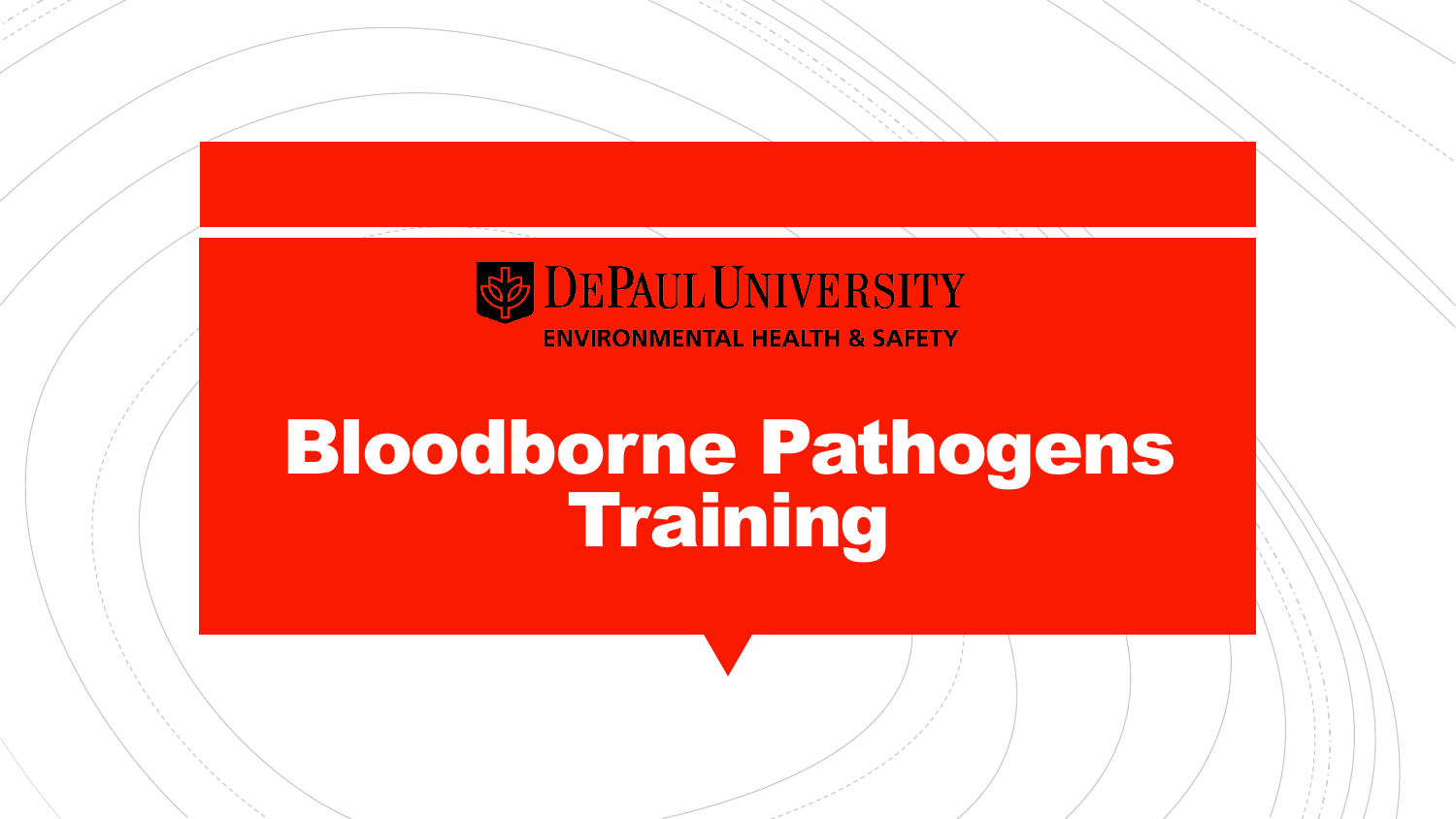

# Bloodborne Pathogens Training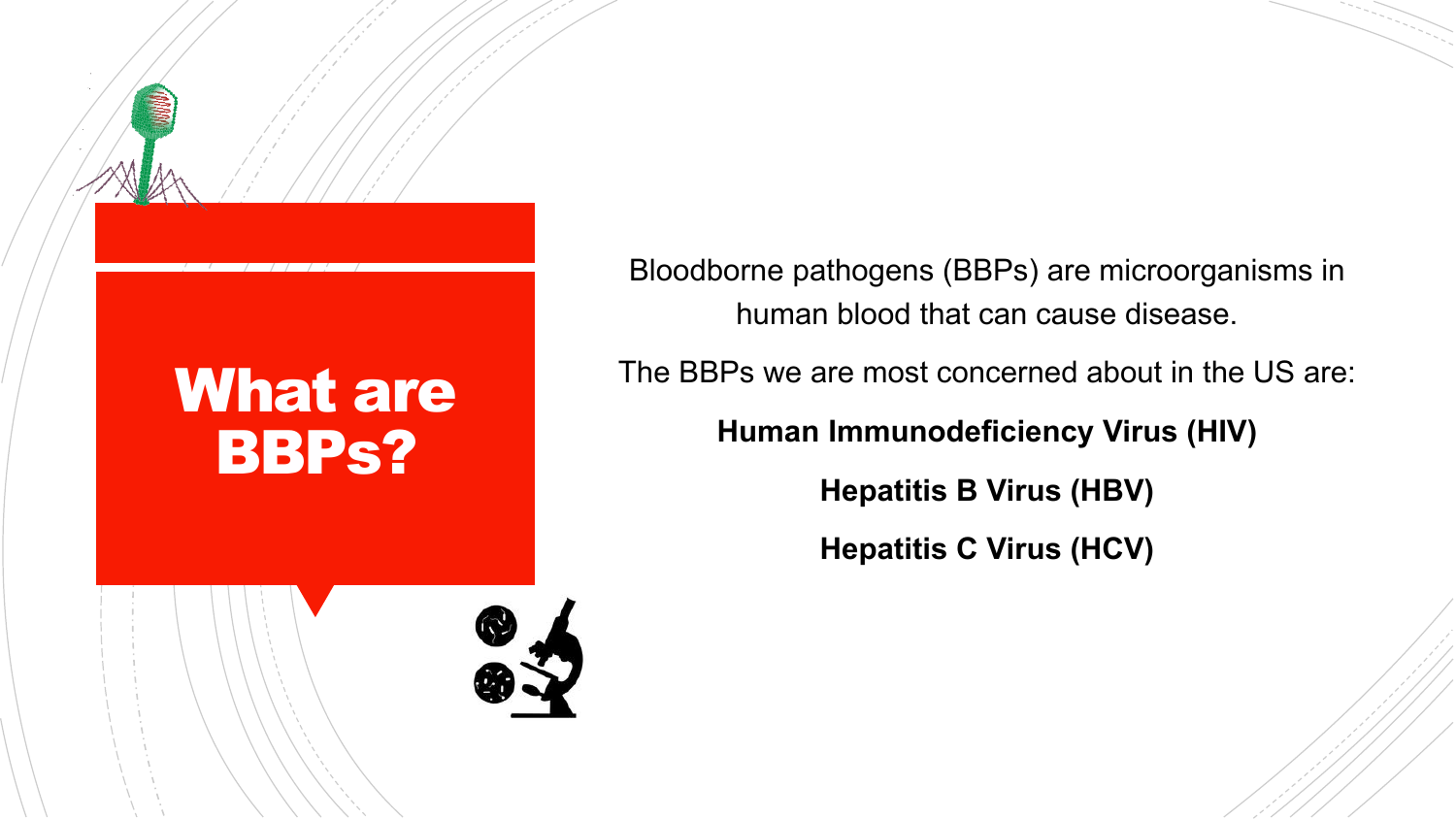## What are BBPs?

Bloodborne pathogens (BBPs) are microorganisms in human blood that can cause disease.

The BBPs we are most concerned about in the US are:

**Human Immunodeficiency Virus (HIV)**

**Hepatitis B Virus (HBV)**

**Hepatitis C Virus (HCV)**

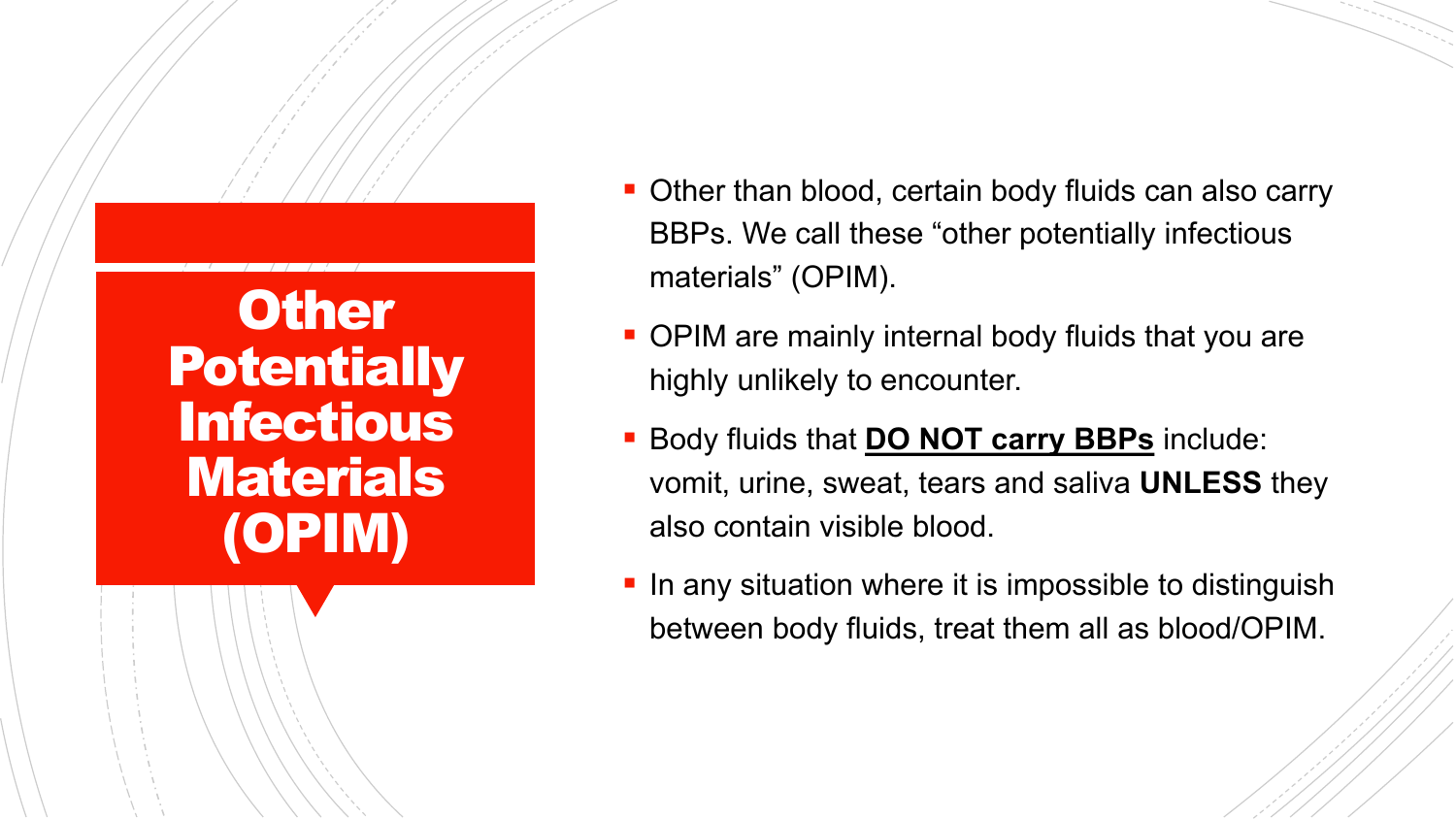### **Other Potentially** Infectious **Materials** (OPIM)

- **Other than blood, certain body fluids can also carry** BBPs. We call these "other potentially infectious materials" (OPIM).
- **OPIM are mainly internal body fluids that you are** highly unlikely to encounter.
- **Body fluids that DO NOT carry BBPs** include: vomit, urine, sweat, tears and saliva **UNLESS** they also contain visible blood.
- In any situation where it is impossible to distinguish between body fluids, treat them all as blood/OPIM.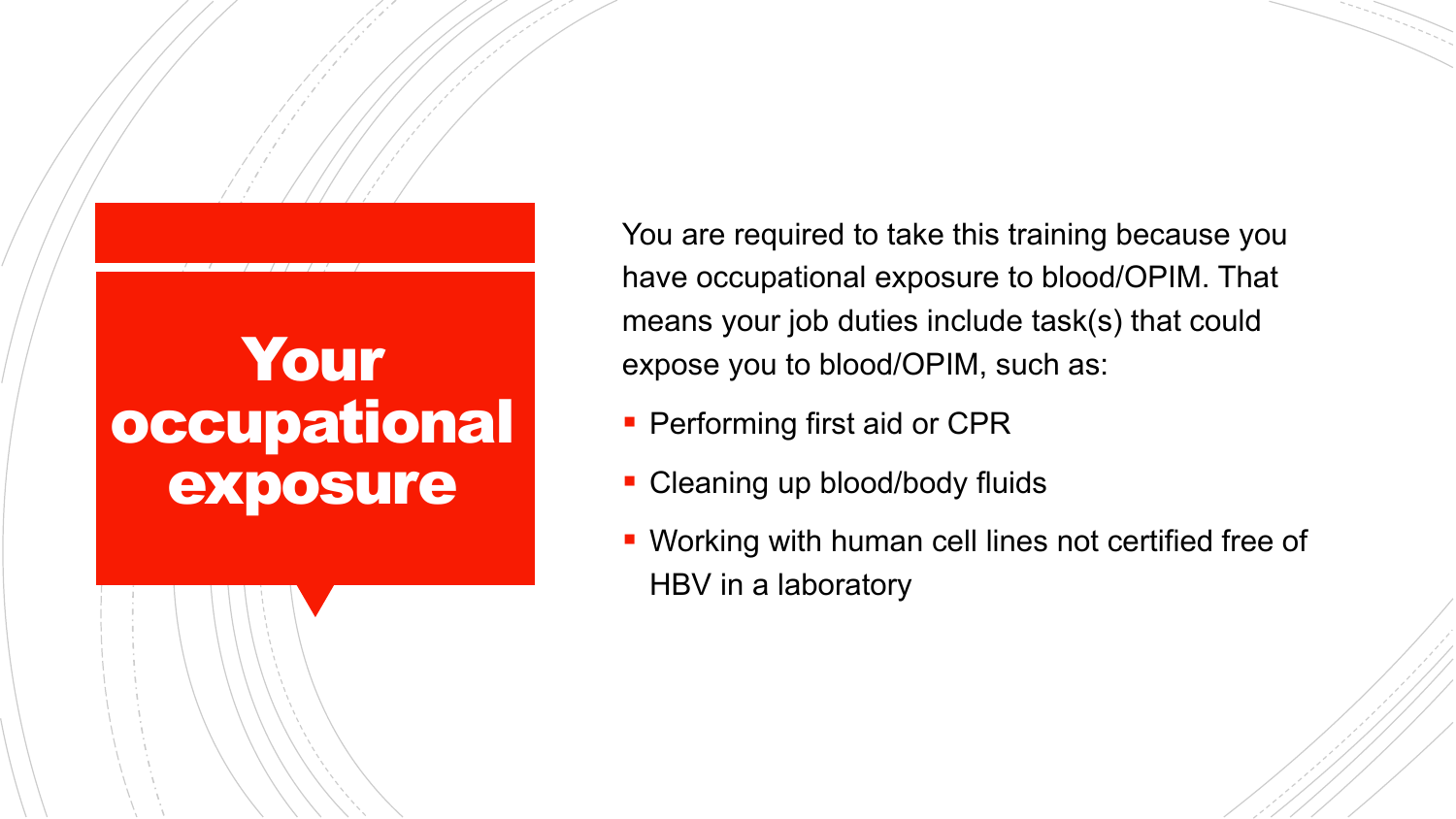## Your **occupational** exposure

You are required to take this training because you have occupational exposure to blood/OPIM. That means your job duties include task(s) that could expose you to blood/OPIM, such as:

- **Performing first aid or CPR**
- Cleaning up blood/body fluids
- **Working with human cell lines not certified free of** HBV in a laboratory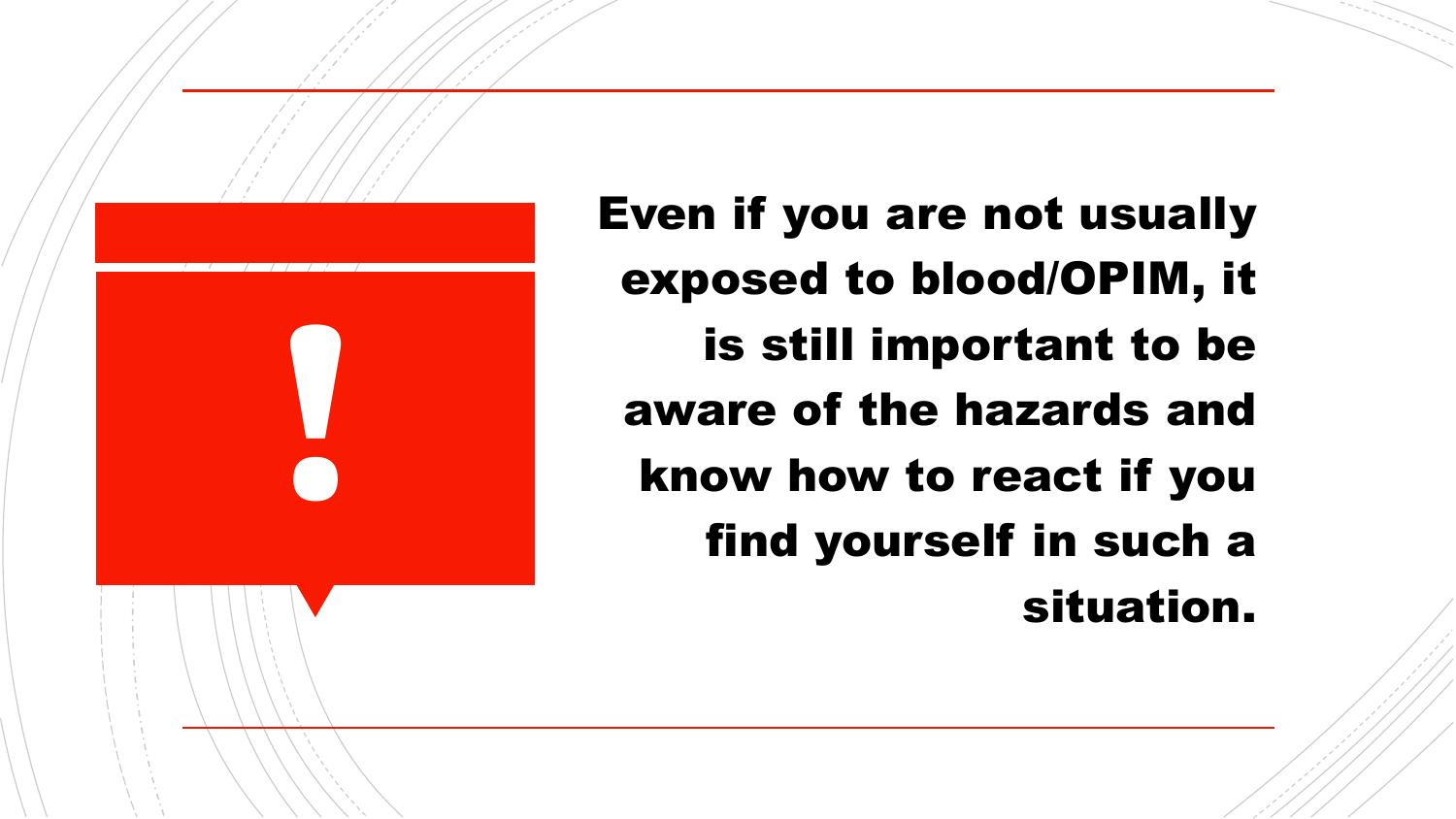Even if you are not usually exposed to blood/OPIM, it is still important to be aware of the hazards and know how to react if you find yourself in such a situation.

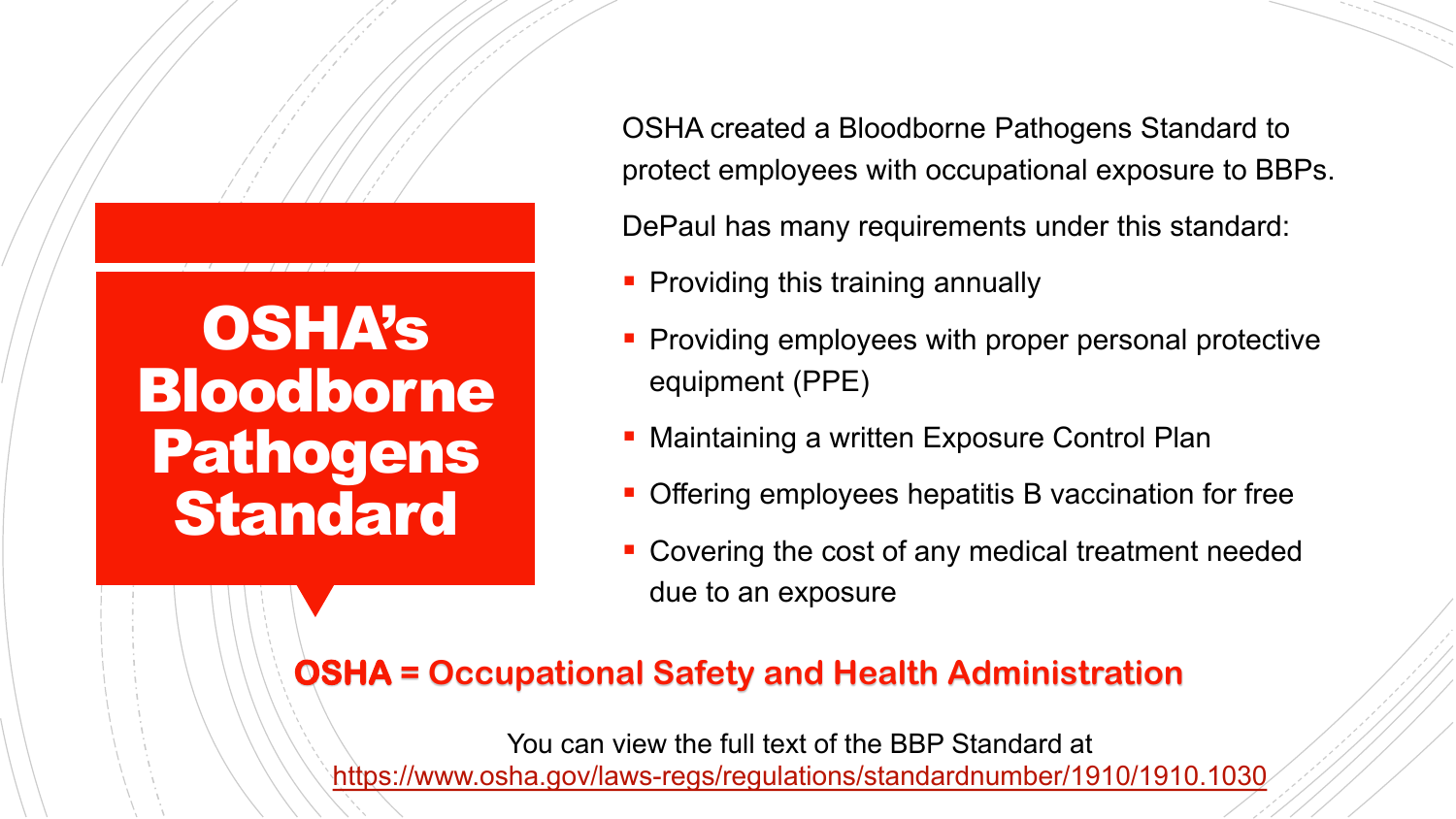## OSHA's **Bloodborne** Pathogens **Standard**

OSHA created a Bloodborne Pathogens Standard to protect employees with occupational exposure to BBPs.

DePaul has many requirements under this standard:

- **Providing this training annually**
- **Providing employees with proper personal protective** equipment (PPE)
- **Maintaining a written Exposure Control Plan**
- Offering employees hepatitis B vaccination for free
- Covering the cost of any medical treatment needed due to an exposure

#### **OSHA = Occupational Safety and Health Administration**

You can view the full text of the BBP Standard at <https://www.osha.gov/laws-regs/regulations/standardnumber/1910/1910.1030>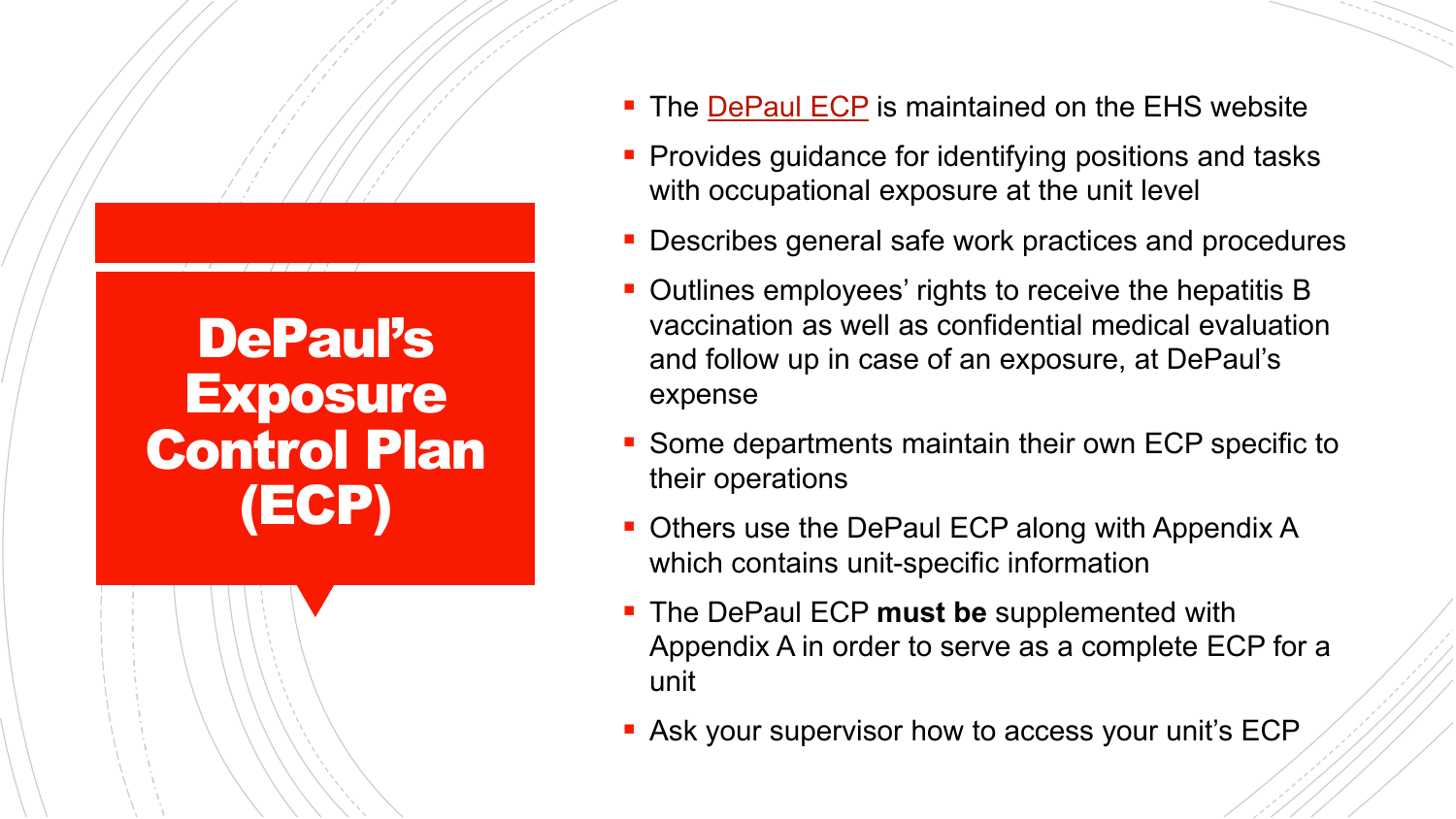### DePaul's **Exposure** Control Plan (ECP)

- The **DePaul ECP** is maintained on the EHS website
- **Provides guidance for identifying positions and tasks** with occupational exposure at the unit level
- **Describes general safe work practices and procedures**
- Outlines employees' rights to receive the hepatitis B vaccination as well as confidential medical evaluation and follow up in case of an exposure, at DePaul's expense
- Some departments maintain their own ECP specific to their operations
- Others use the DePaul ECP along with Appendix A which contains unit-specific information
- **The DePaul ECP must be** supplemented with Appendix A in order to serve as a complete ECP for a unit
- **Ask your supervisor how to access your unit's ECP**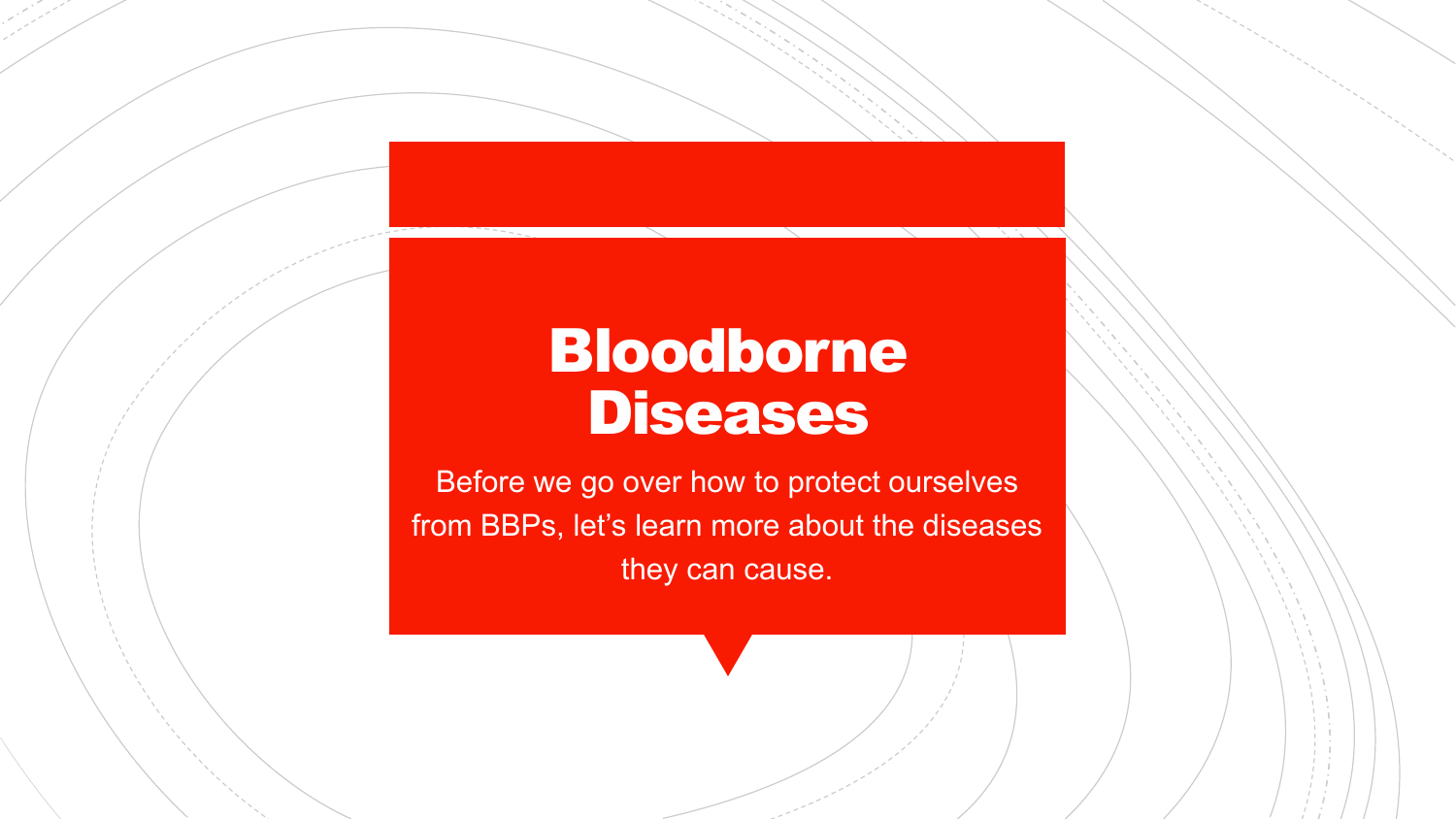### Bloodborne Diseases

Before we go over how to protect ourselves from BBPs, let's learn more about the diseases they can cause.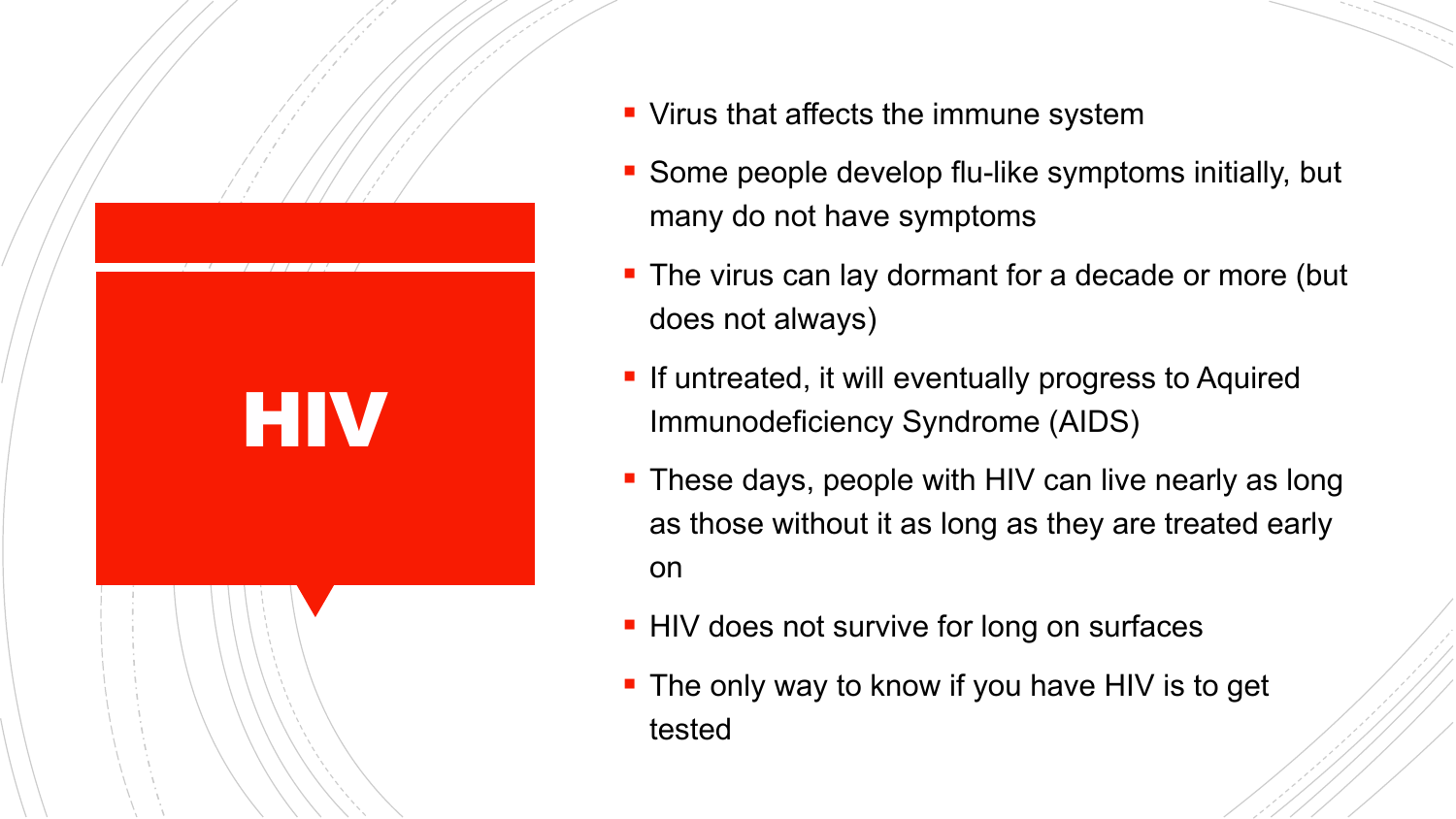

- Virus that affects the immune system
- Some people develop flu-like symptoms initially, but many do not have symptoms
- The virus can lay dormant for a decade or more (but does not always)
- **If untreated, it will eventually progress to Aquired** Immunodeficiency Syndrome (AIDS)
- **These days, people with HIV can live nearly as long** as those without it as long as they are treated early on
- **HIV does not survive for long on surfaces**
- **The only way to know if you have HIV is to get** tested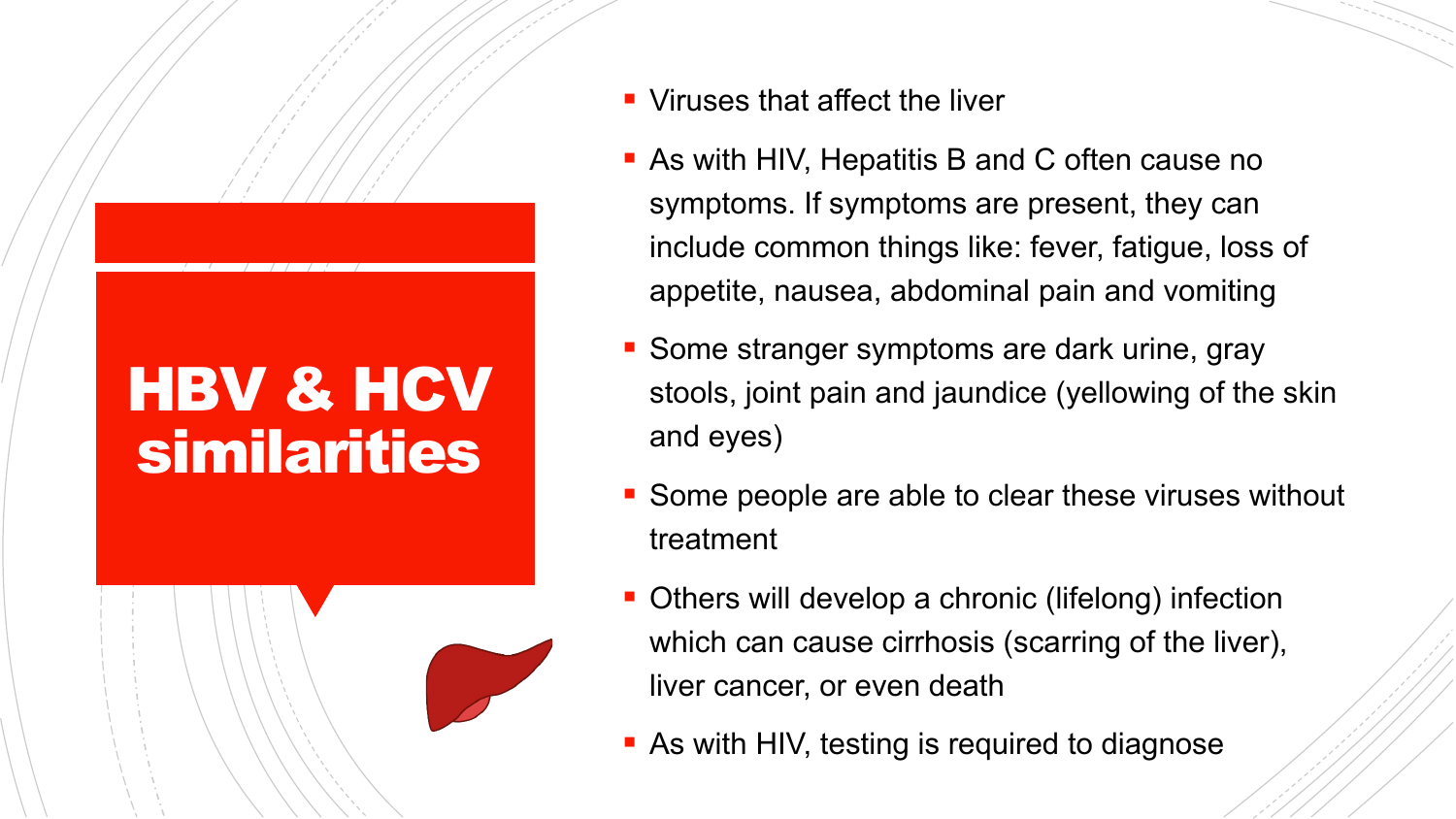## HBV & HCV similarities



- Viruses that affect the liver
- **As with HIV, Hepatitis B and C often cause no** symptoms. If symptoms are present, they can include common things like: fever, fatigue, loss of appetite, nausea, abdominal pain and vomiting
- **Some stranger symptoms are dark urine, gray** stools, joint pain and jaundice (yellowing of the skin and eyes)
- Some people are able to clear these viruses without treatment
- **Others will develop a chronic (lifelong) infection** which can cause cirrhosis (scarring of the liver), liver cancer, or even death
- **As with HIV, testing is required to diagnose**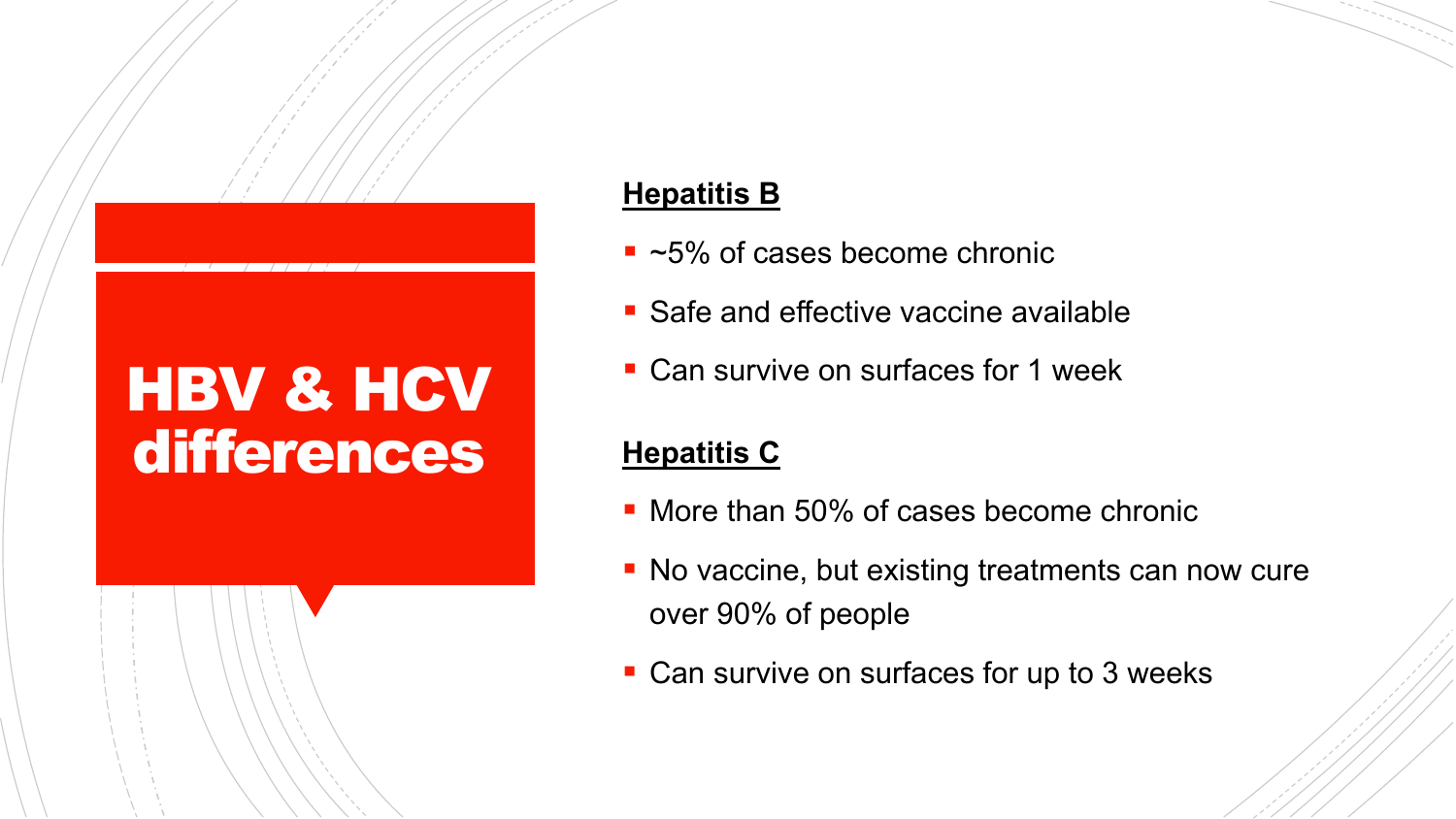## HBV & HCV differences

#### **Hepatitis B**

- ~5% of cases become chronic
- Safe and effective vaccine available
- Can survive on surfaces for 1 week

#### **Hepatitis C**

- More than 50% of cases become chronic
- No vaccine, but existing treatments can now cure over 90% of people
- Can survive on surfaces for up to 3 weeks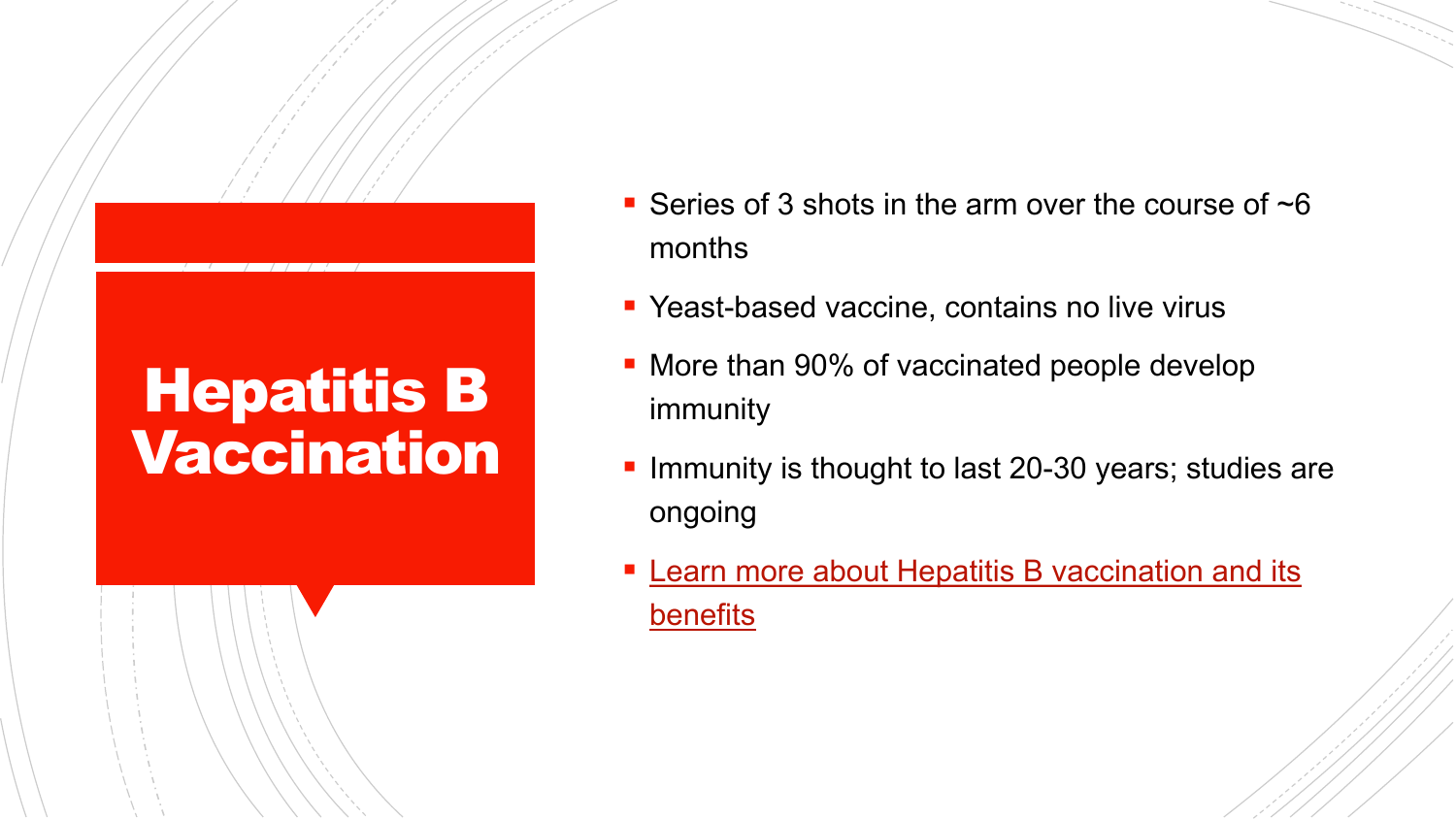## Hepatitis B Vaccination

- Series of 3 shots in the arm over the course of  $\neg 6$ months
- **P** Yeast-based vaccine, contains no live virus
- **More than 90% of vaccinated people develop** immunity
- **Immunity is thought to last 20-30 years; studies are** ongoing
- **Example 2 Figure 1 [Learn more about Hepatitis B vaccination and its](https://www.cdc.gov/vaccines/hcp/vis/vis-statements/hep-b.pdf) benefits**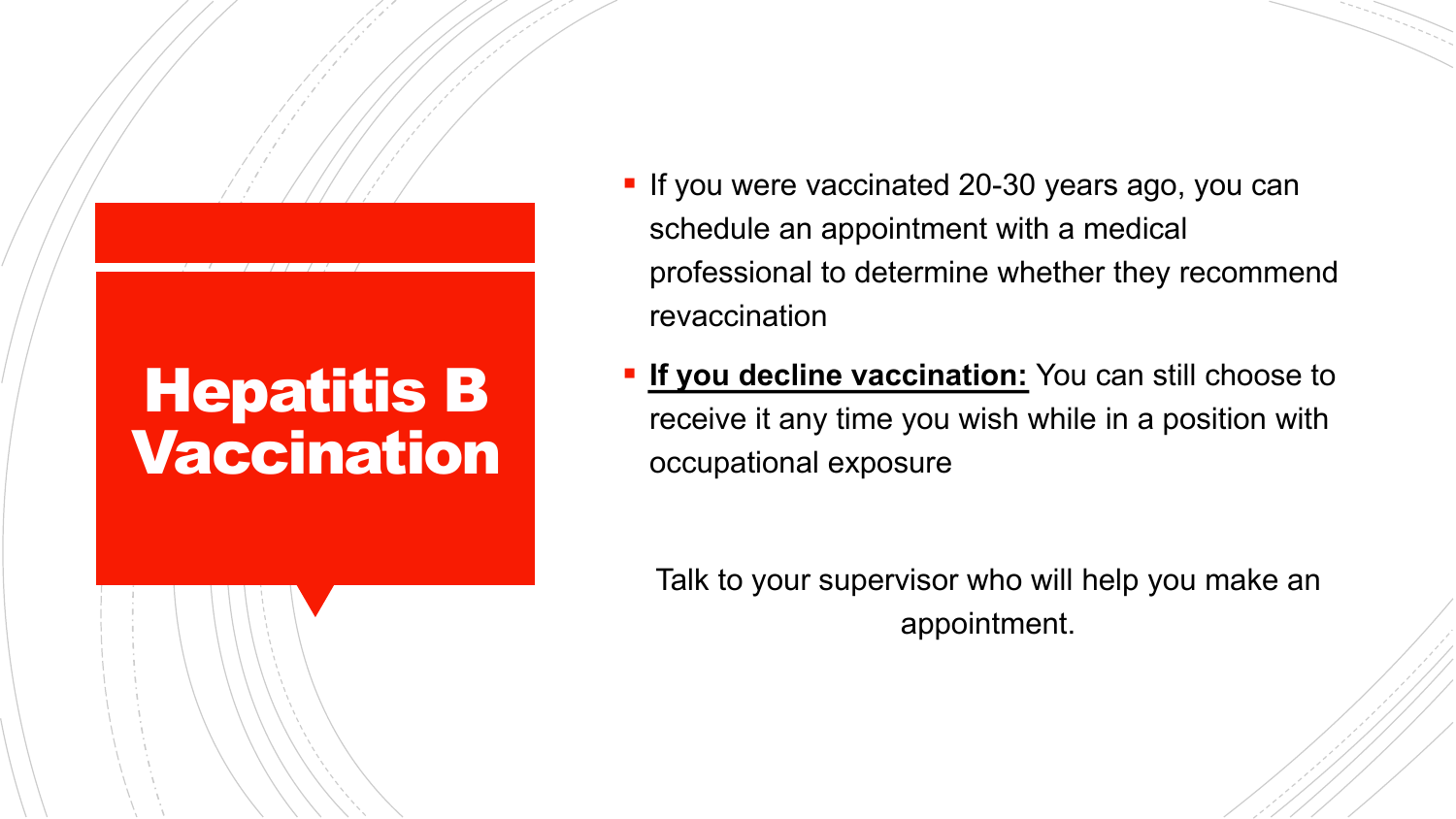## Hepatitis B Vaccination

- **If you were vaccinated 20-30 years ago, you can** schedule an appointment with a medical professional to determine whether they recommend revaccination
- **If you decline vaccination:** You can still choose to receive it any time you wish while in a position with occupational exposure

Talk to your supervisor who will help you make an appointment.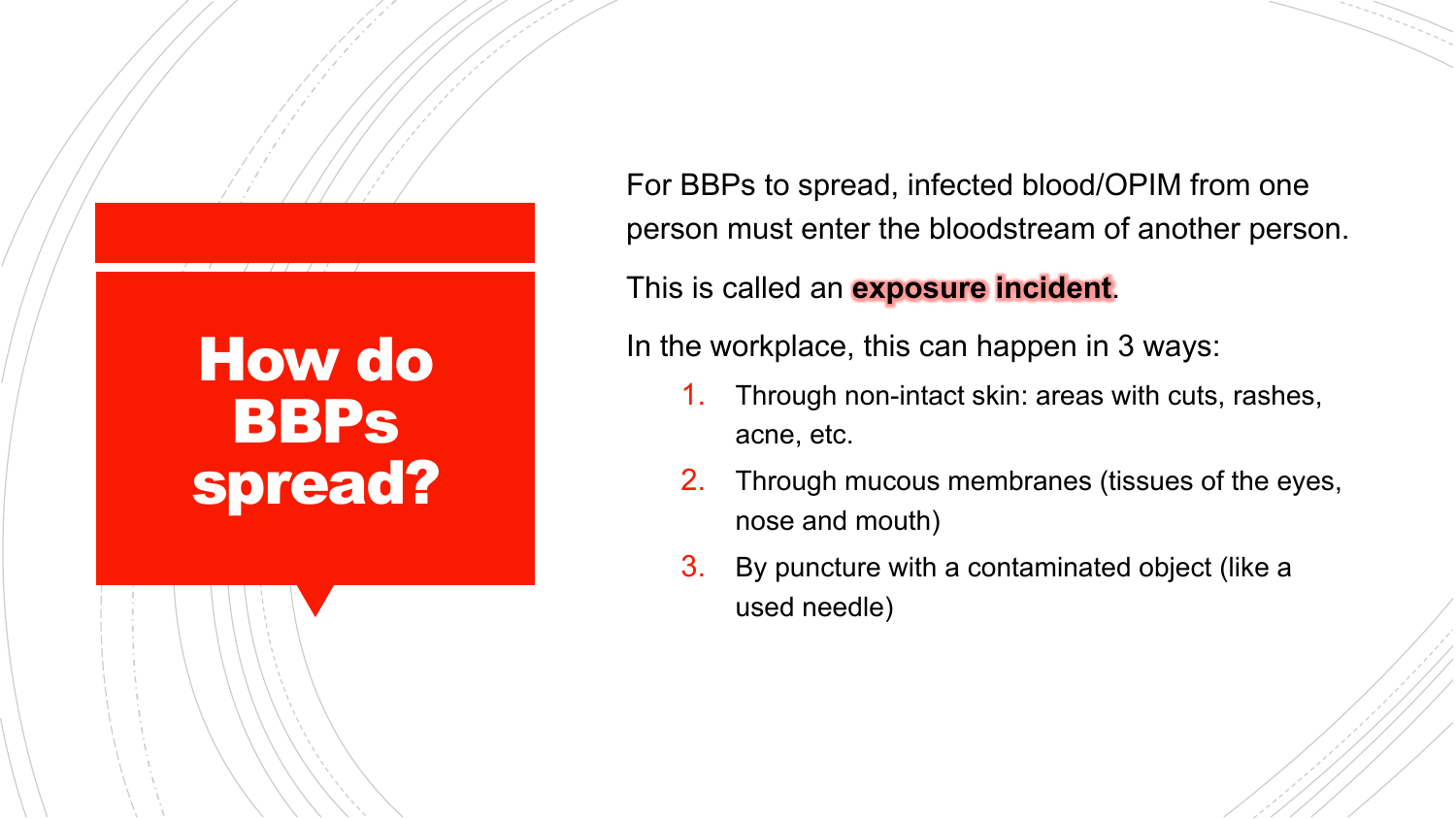## How do BBPs spread?

For BBPs to spread, infected blood/OPIM from one person must enter the bloodstream of another person.

This is called an **exposure incident**.

In the workplace, this can happen in 3 ways:

- 1. Through non-intact skin: areas with cuts, rashes, acne, etc.
- 2. Through mucous membranes (tissues of the eyes, nose and mouth)
- 3. By puncture with a contaminated object (like a used needle)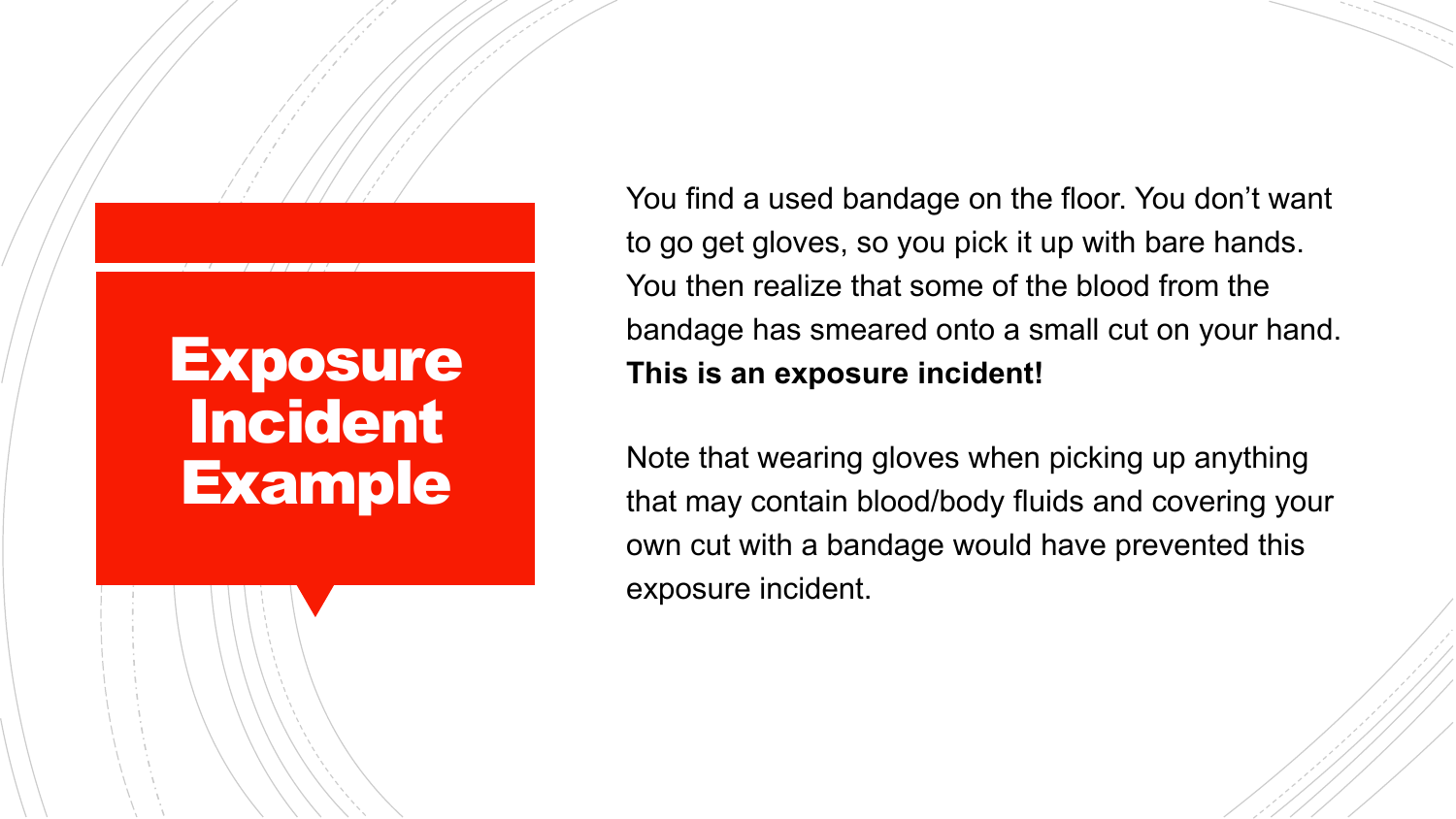## **Exposure** Incident Example

You find a used bandage on the floor. You don't want to go get gloves, so you pick it up with bare hands. You then realize that some of the blood from the bandage has smeared onto a small cut on your hand. **This is an exposure incident!**

Note that wearing gloves when picking up anything that may contain blood/body fluids and covering your own cut with a bandage would have prevented this exposure incident.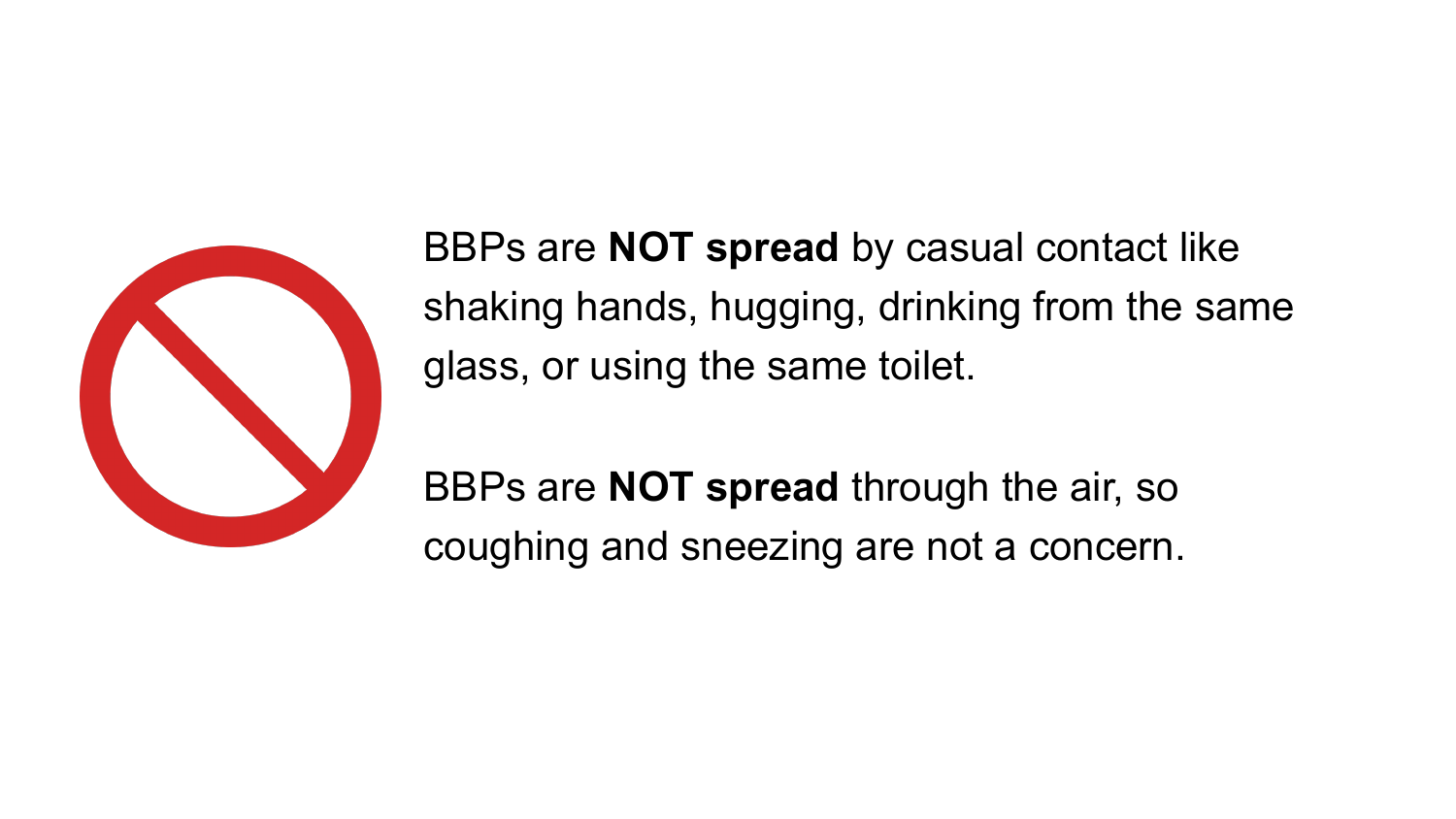

BBPs are **NOT spread** by casual contact like shaking hands, hugging, drinking from the same glass, or using the same toilet.

BBPs are **NOT spread** through the air, so coughing and sneezing are not a concern.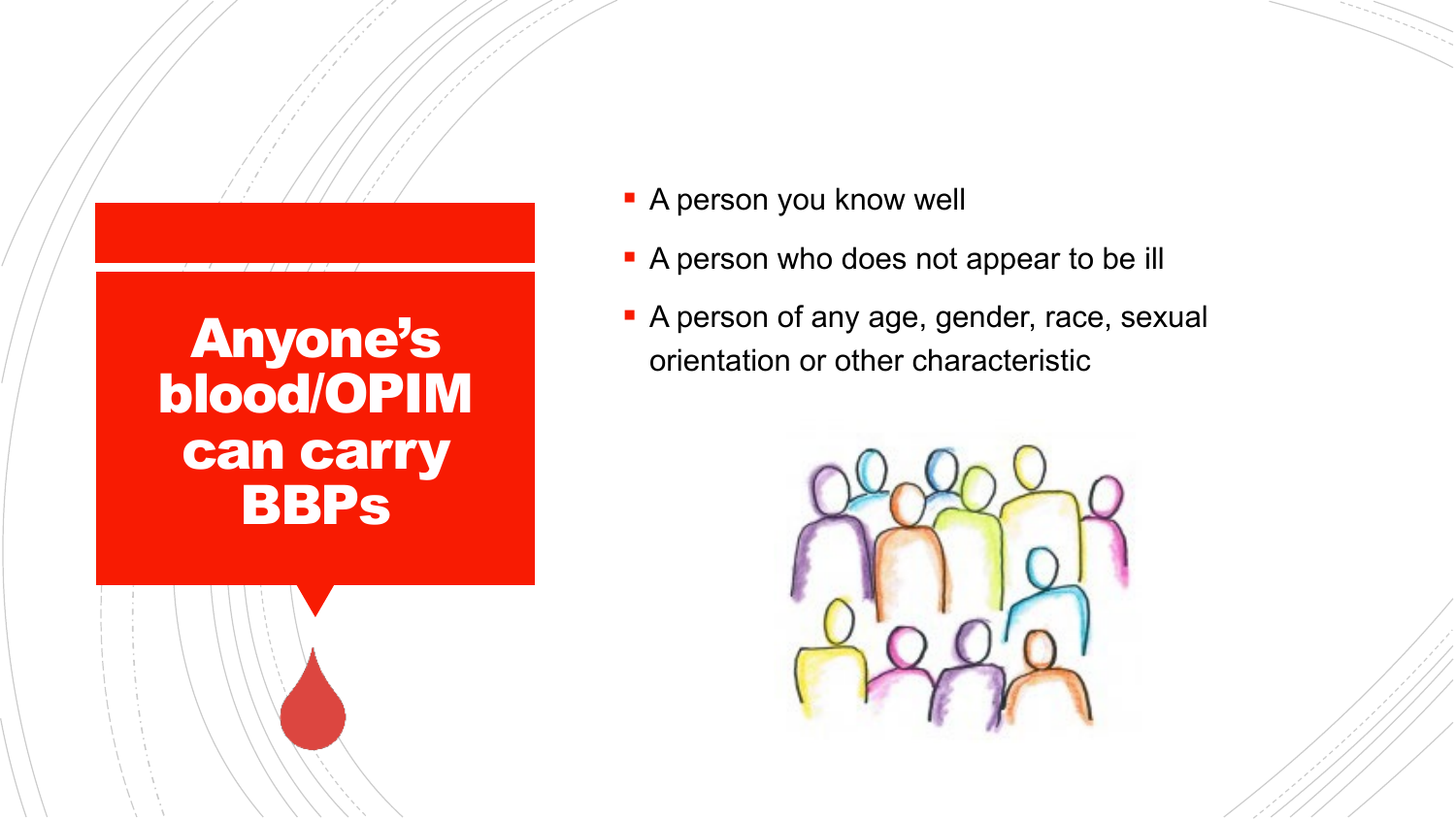#### Anyone's blood/OPIM can carry **BBPs**

- **A person you know well**
- A person who does not appear to be ill
- A person of any age, gender, race, sexual orientation or other characteristic

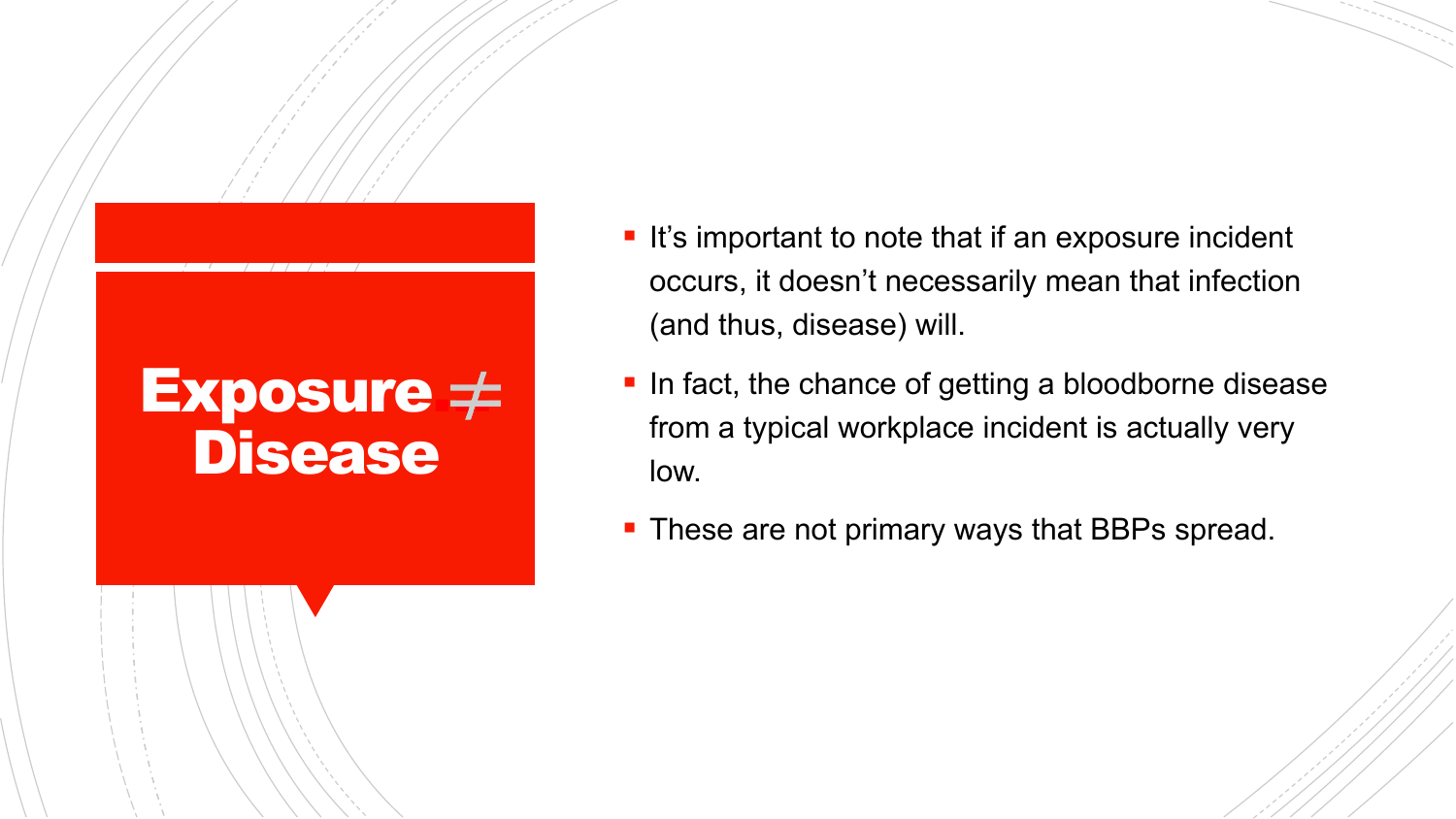### $\mathsf{Exposure} \neq$ Disease

- It's important to note that if an exposure incident occurs, it doesn't necessarily mean that infection (and thus, disease) will.
- **In fact, the chance of getting a bloodborne disease** from a typical workplace incident is actually very low.
- **These are not primary ways that BBPs spread.**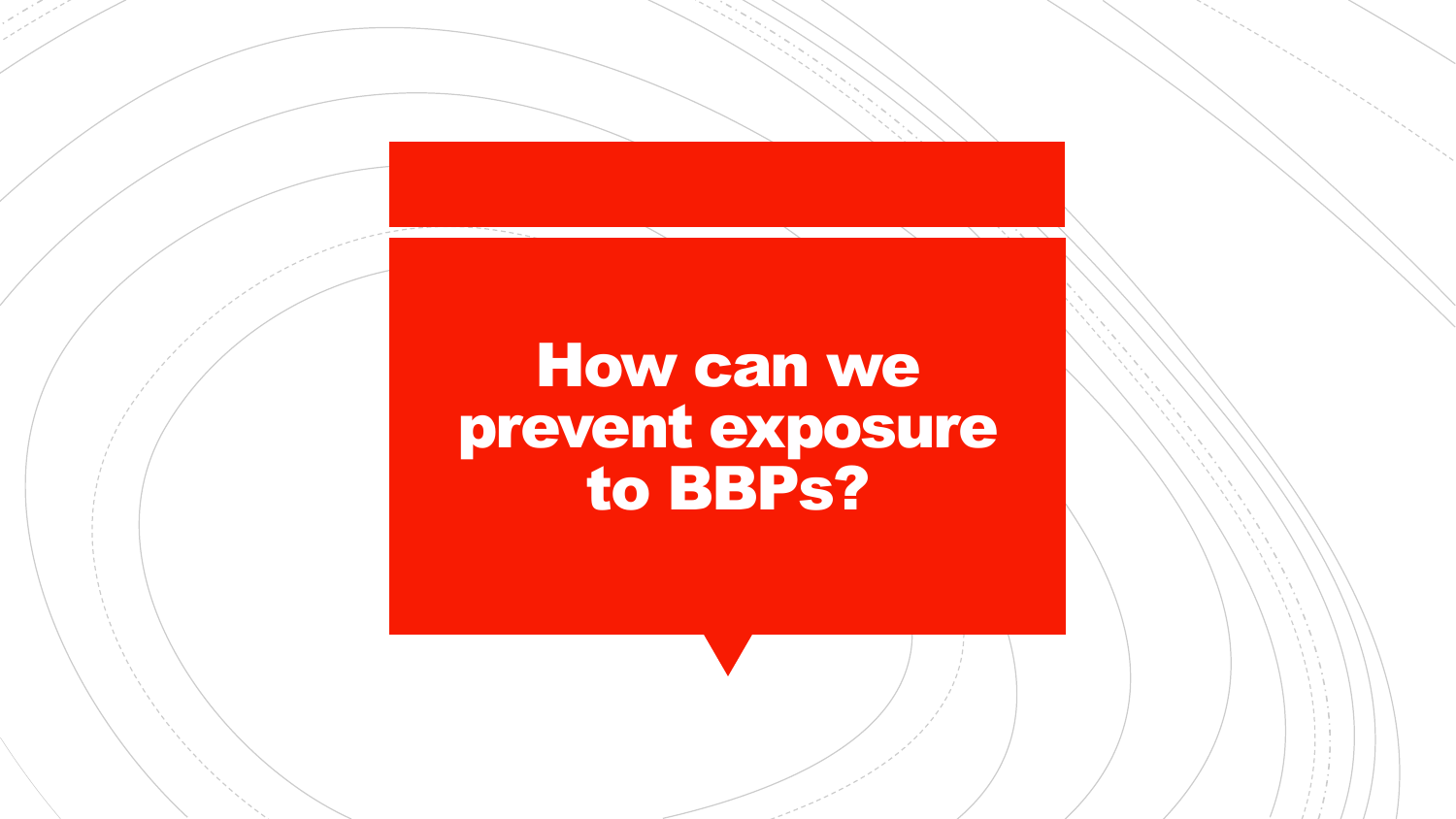### How can we prevent exposure to BBPs?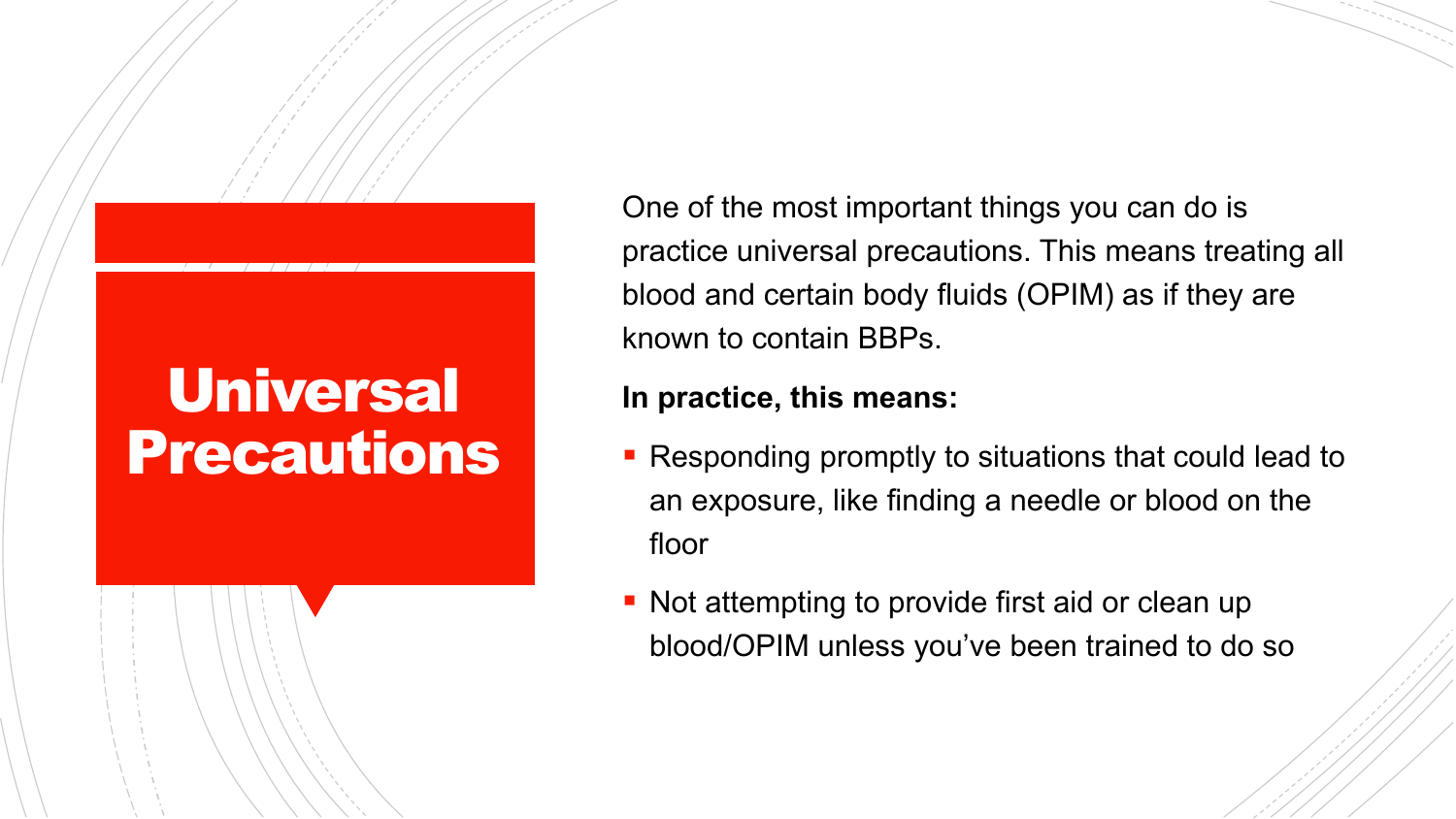## **Universal** Precautions

One of the most important things you can do is practice universal precautions. This means treating all blood and certain body fluids (OPIM) as if they are known to contain BBPs.

#### **In practice, this means:**

- Responding promptly to situations that could lead to an exposure, like finding a needle or blood on the floor
- Not attempting to provide first aid or clean up blood/OPIM unless you've been trained to do so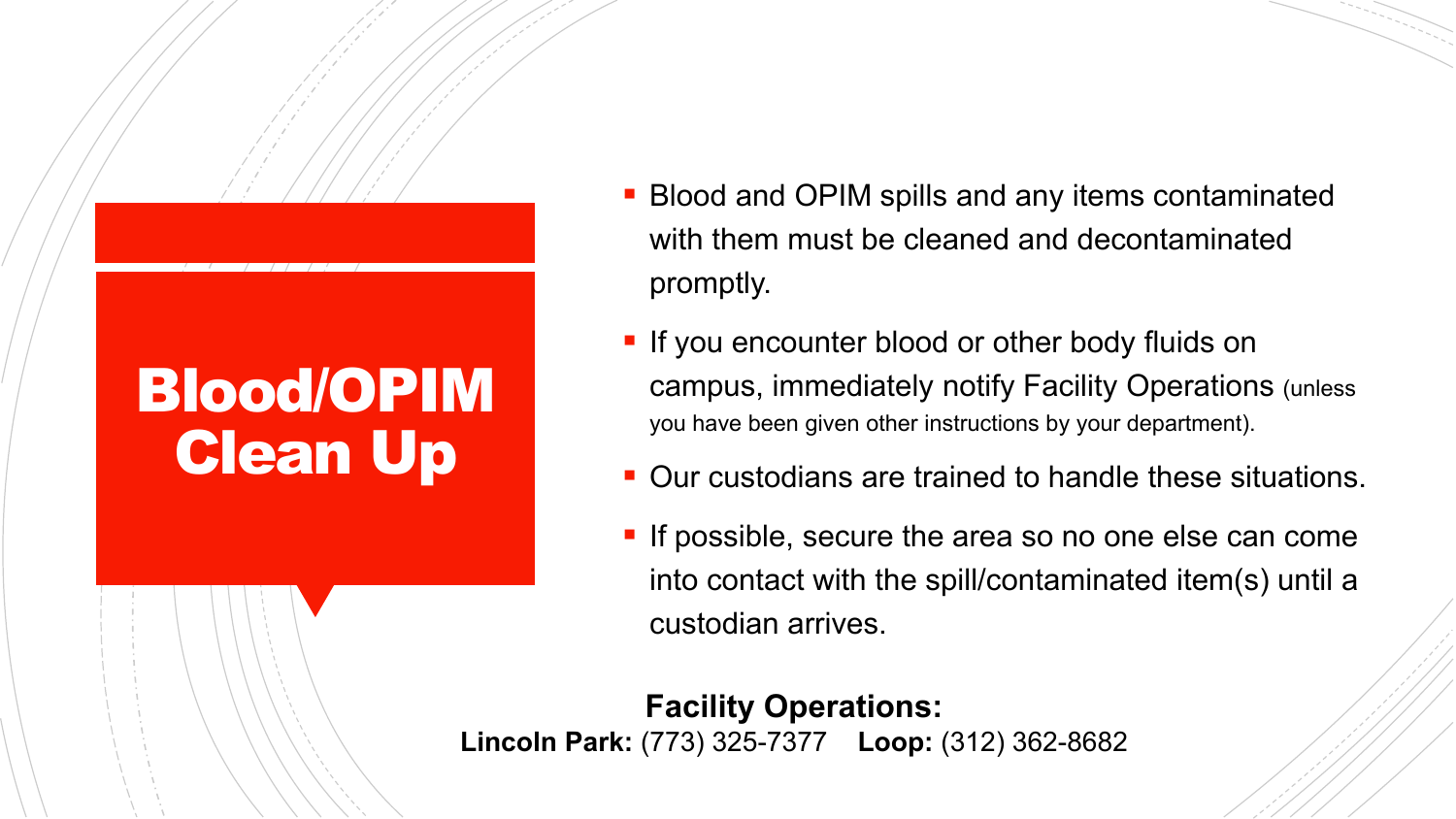## Blood/OPIM Clean Up

- **Blood and OPIM spills and any items contaminated** with them must be cleaned and decontaminated promptly.
- **If you encounter blood or other body fluids on** campus, immediately notify Facility Operations (unless you have been given other instructions by your department).
- Our custodians are trained to handle these situations.
- **If possible, secure the area so no one else can come** into contact with the spill/contaminated item(s) until a custodian arrives.

**Facility Operations: Lincoln Park:** (773) 325-7377 **Loop:** (312) 362-8682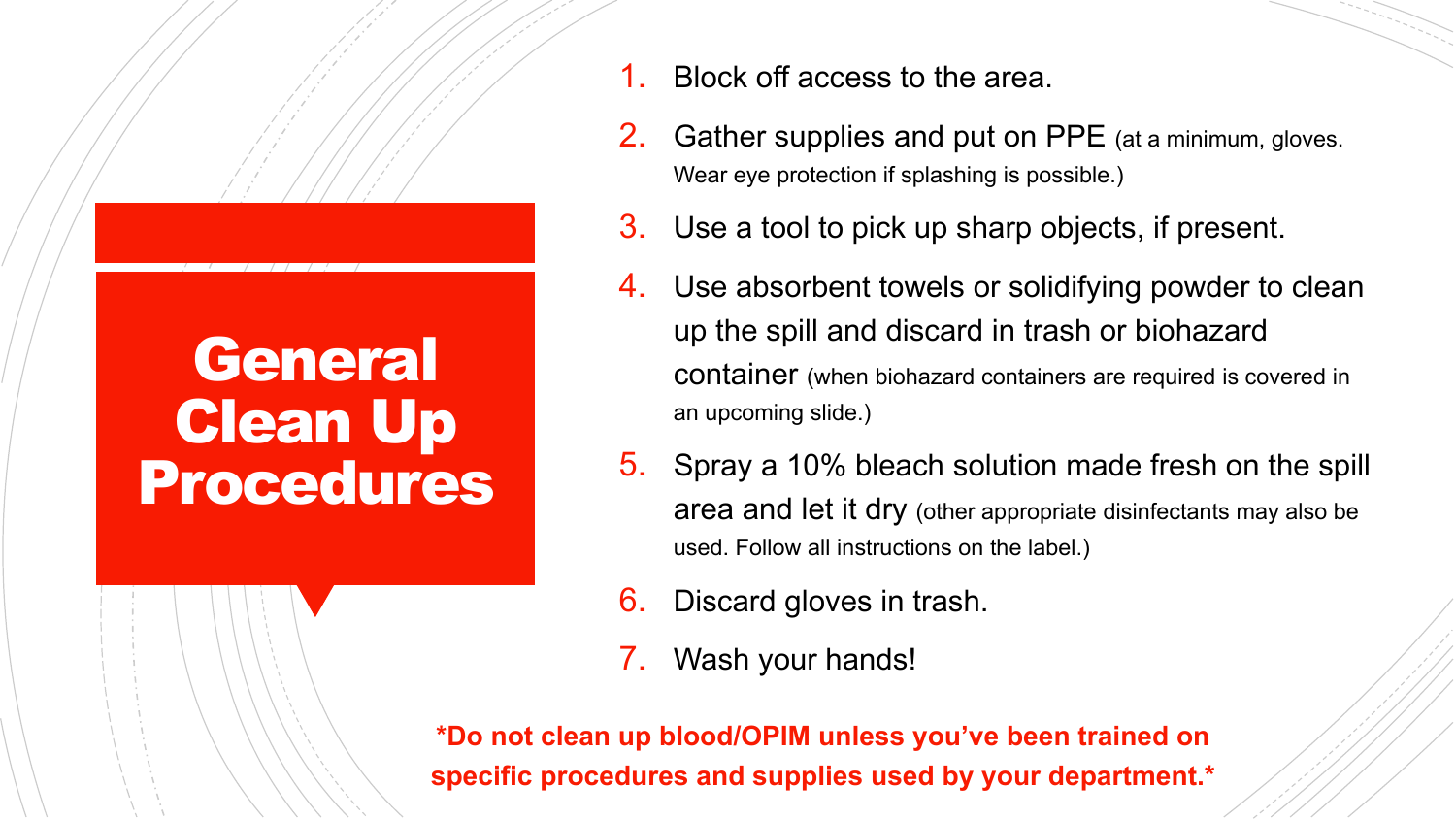## **General** Clean Up Procedures

- Block off access to the area.
- 2. Gather supplies and put on PPE (at a minimum, gloves. Wear eye protection if splashing is possible.)
- 3. Use a tool to pick up sharp objects, if present.
- 4. Use absorbent towels or solidifying powder to clean up the spill and discard in trash or biohazard container (when biohazard containers are required is covered in an upcoming slide.)
- 5. Spray a 10% bleach solution made fresh on the spill area and let it dry (other appropriate disinfectants may also be used. Follow all instructions on the label.)
- 6. Discard gloves in trash.
- 7. Wash your hands!

**\*Do not clean up blood/OPIM unless you've been trained on specific procedures and supplies used by your department.\***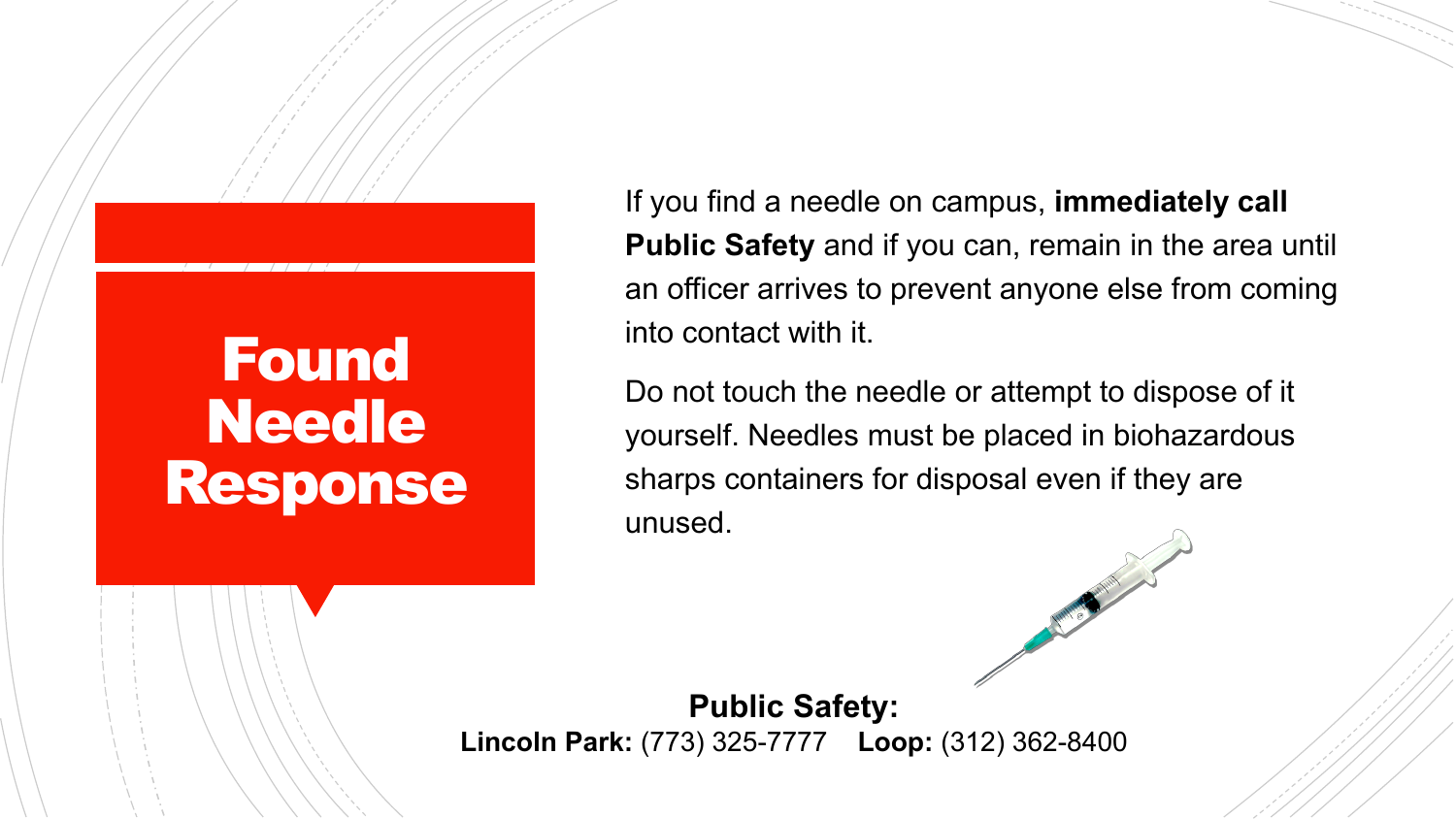## Found Needle Response

If you find a needle on campus, **immediately call Public Safety** and if you can, remain in the area until an officer arrives to prevent anyone else from coming into contact with it.

Do not touch the needle or attempt to dispose of it yourself. Needles must be placed in biohazardous sharps containers for disposal even if they are unused.



**Public Safety: Lincoln Park:** (773) 325-7777 **Loop:** (312) 362-8400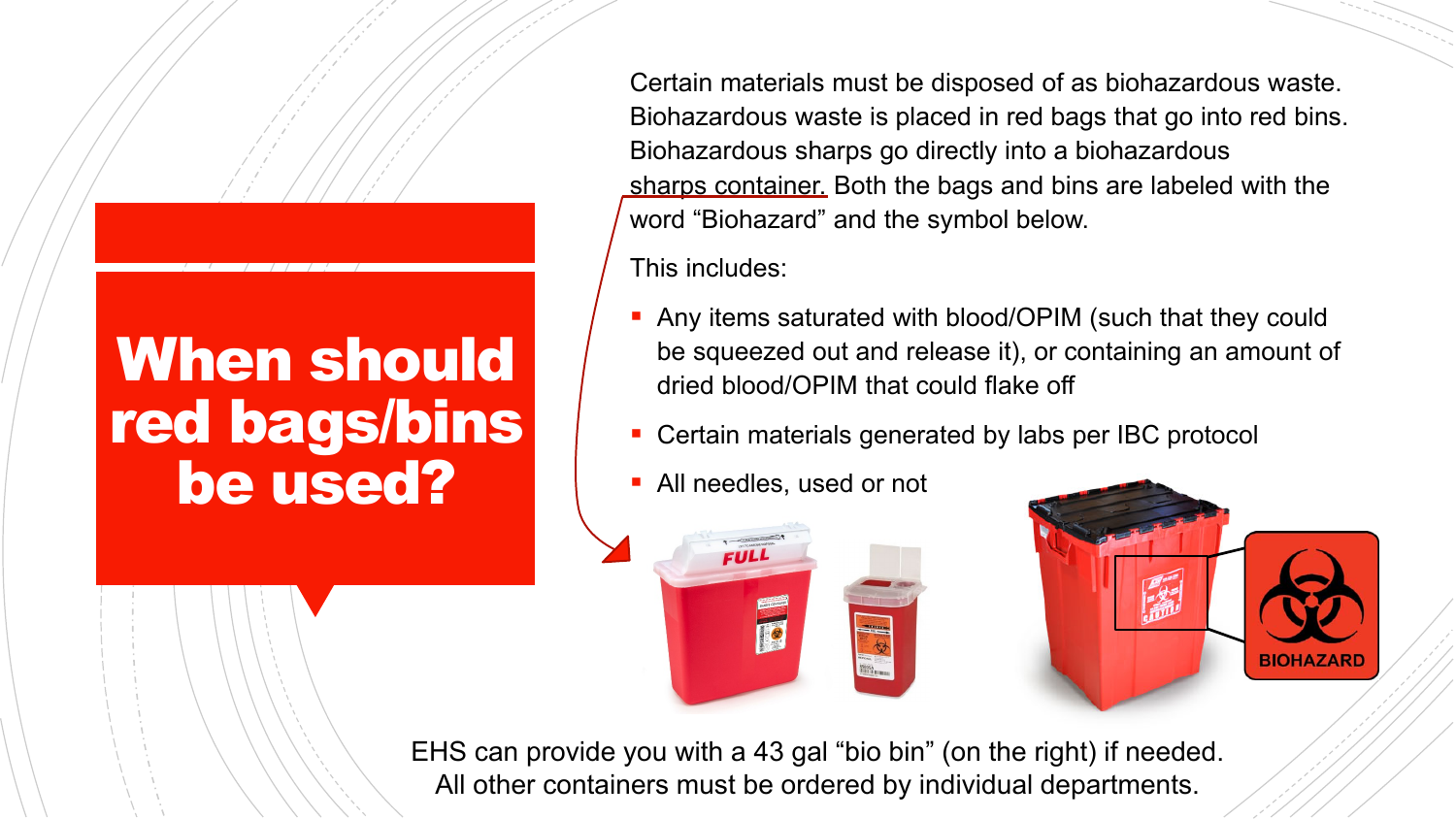## When should red bags/bins be used?

Certain materials must be disposed of as biohazardous waste. Biohazardous waste is placed in red bags that go into red bins. Biohazardous sharps go directly into a biohazardous sharps container. Both the bags and bins are labeled with the word "Biohazard" and the symbol below.

This includes:

- Any items saturated with blood/OPIM (such that they could be squeezed out and release it), or containing an amount of dried blood/OPIM that could flake off
- Certain materials generated by labs per IBC protocol
- All needles, used or not





EHS can provide you with a 43 gal "bio bin" (on the right) if needed. All other containers must be ordered by individual departments.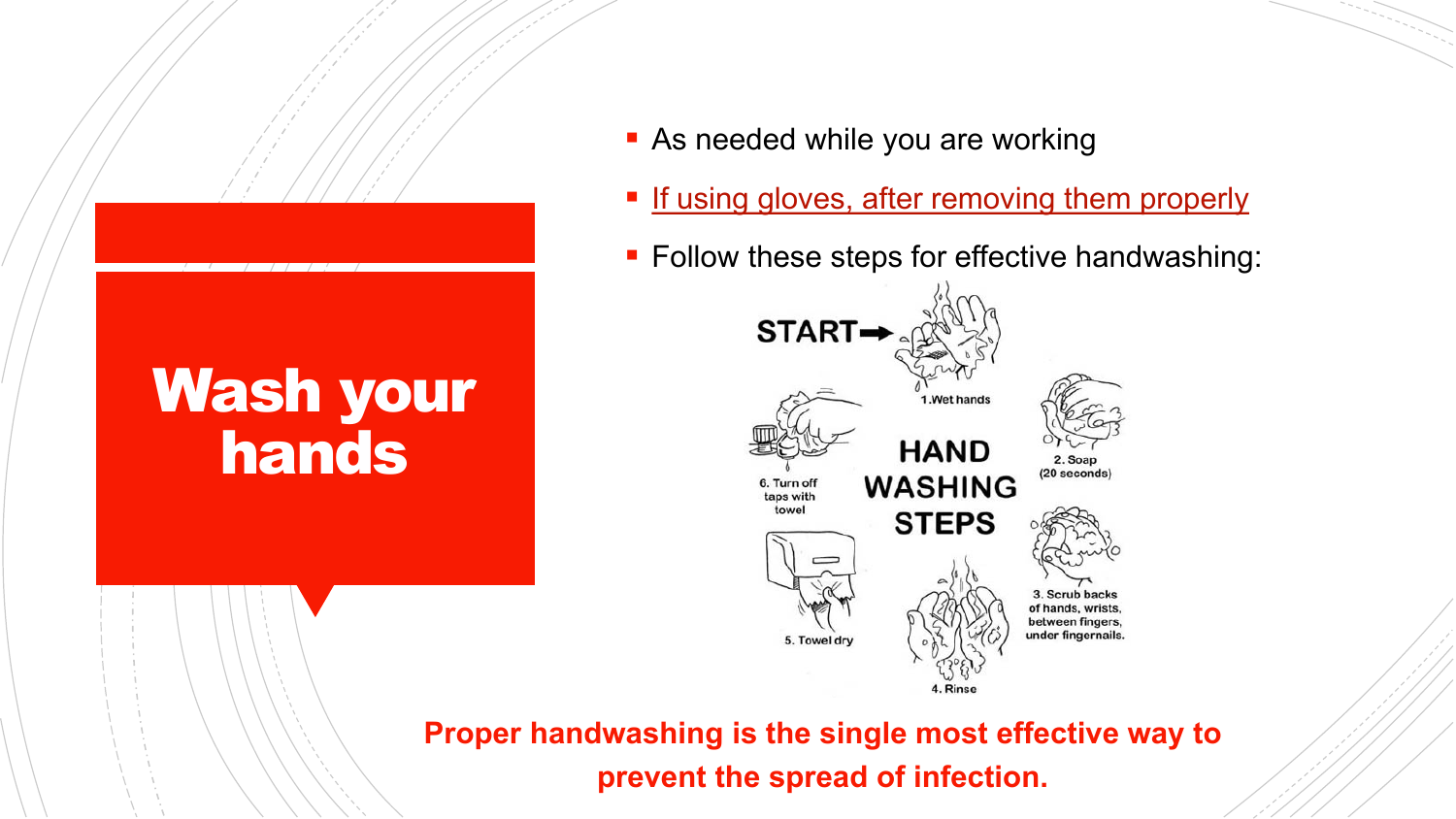### Wash your hands

- **As needed while you are working**
- **[If using gloves, after removing them properly](https://youtu.be/KTNemIYPNqA)**
- **Follow these steps for effective handwashing:**



**Proper handwashing is the single most effective way to prevent the spread of infection.**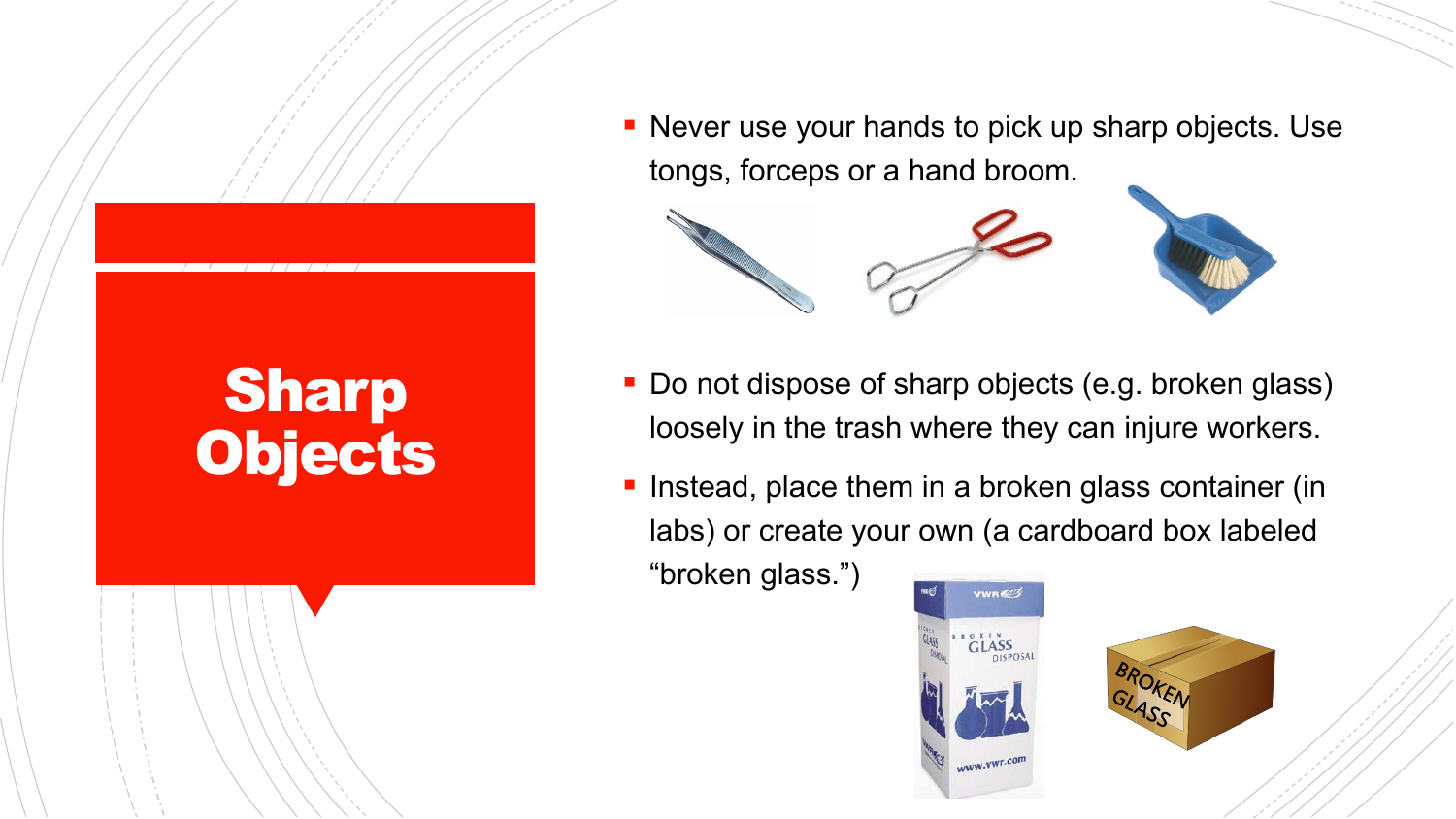**Never use your hands to pick up sharp objects. Use** tongs, forceps or a hand broom.



- Do not dispose of sharp objects (e.g. broken glass) loosely in the trash where they can injure workers.
- **Instead, place them in a broken glass container (in** labs) or create your own (a cardboard box labeled

"broken glass.")

**Sharp** 

**Objects** 



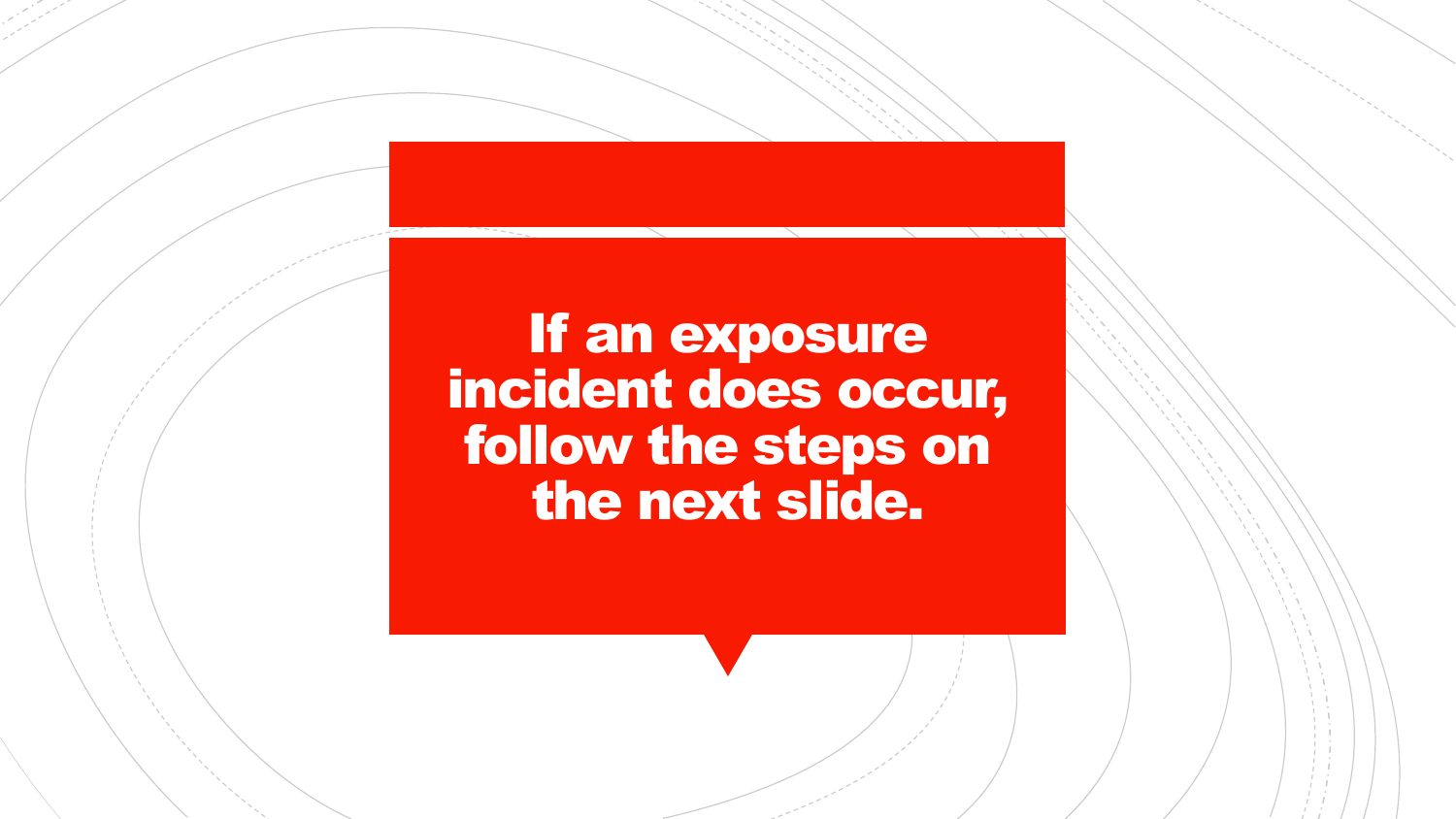#### If an exposure incident does occur, follow the steps on the next slide.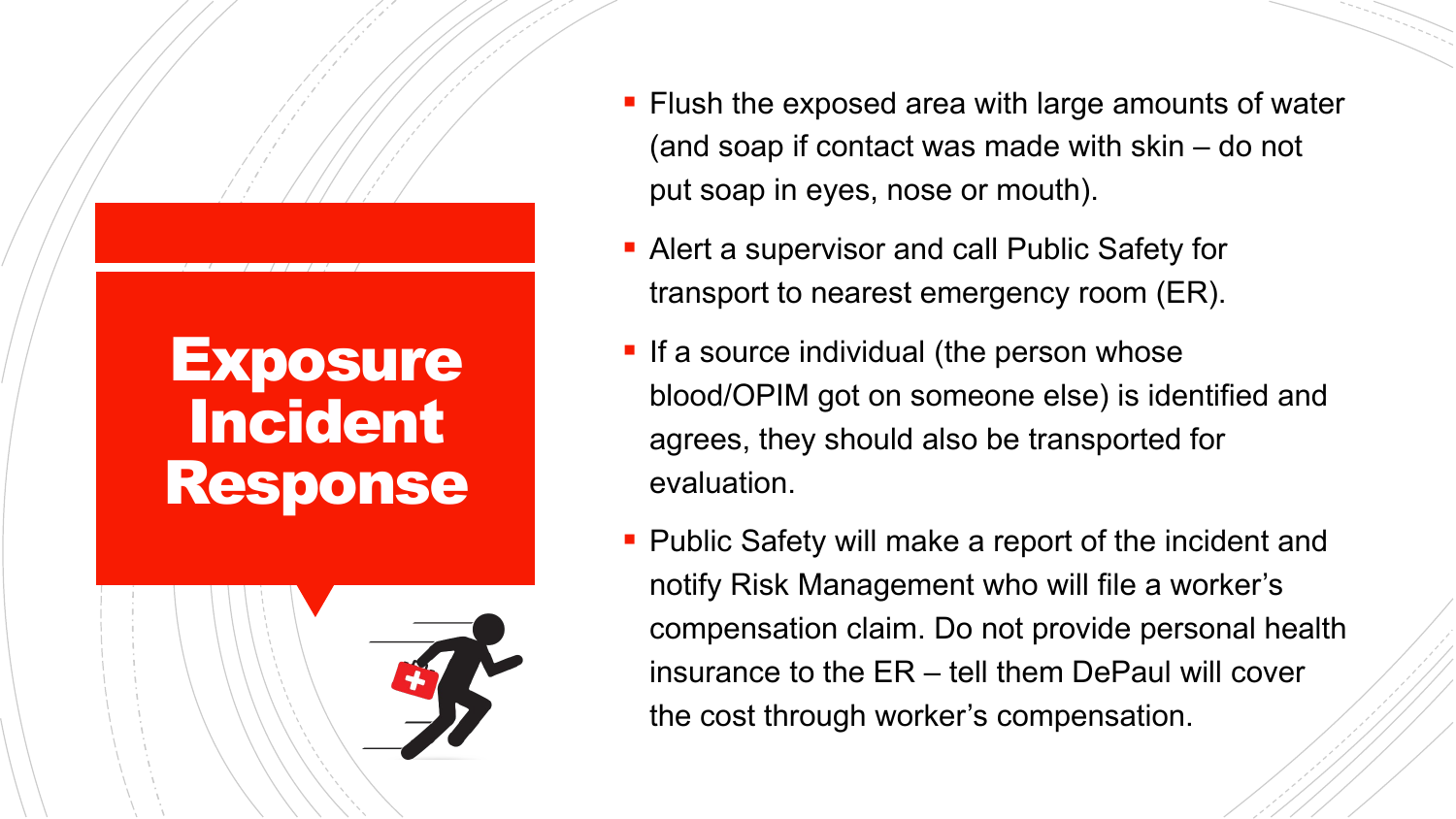## **Exposure** Incident Response

- **Filush the exposed area with large amounts of water** (and soap if contact was made with skin – do not put soap in eyes, nose or mouth).
- **Alert a supervisor and call Public Safety for** transport to nearest emergency room (ER).
- **If a source individual (the person whose** blood/OPIM got on someone else) is identified and agrees, they should also be transported for evaluation.
- **Public Safety will make a report of the incident and** notify Risk Management who will file a worker's compensation claim. Do not provide personal health insurance to the ER – tell them DePaul will cover the cost through worker's compensation.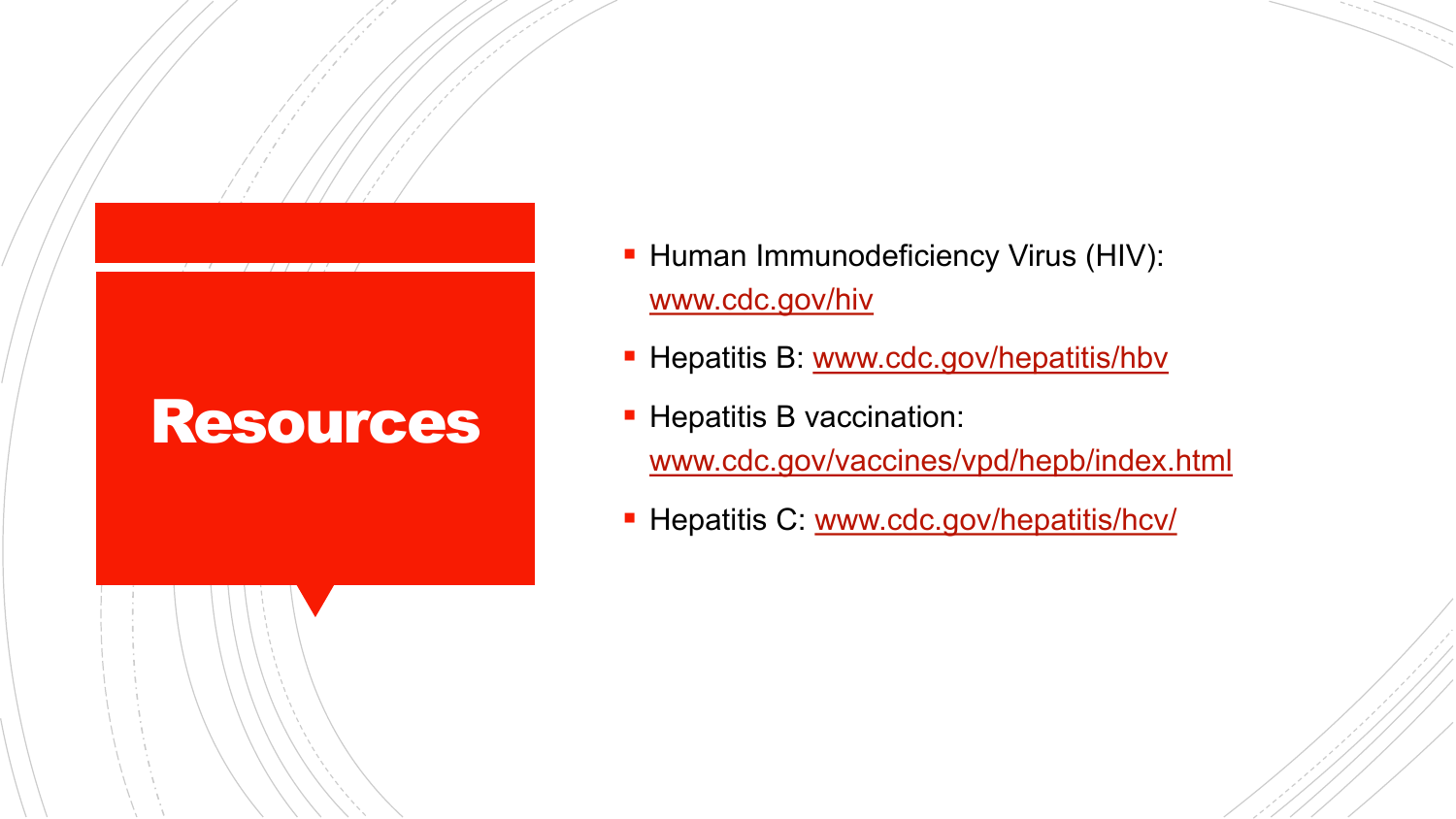### Resources

- **Human Immunodeficiency Virus (HIV):** [www.cdc.gov/hiv](http://www.cdc.gov/hiv)
- Hepatitis B: [www.cdc.gov/hepatitis/hbv](http://www.cdc.gov/hepatitis/hbv)
- **Hepatitis B vaccination:** [www.cdc.gov/vaccines/vpd/hepb/index.html](http://www.cdc.gov/vaccines/vpd/hepb/index.html)
- **Hepatitis C: [www.cdc.gov/hepatitis/hcv/](http://www.cdc.gov/hepatitis/hcv/)**